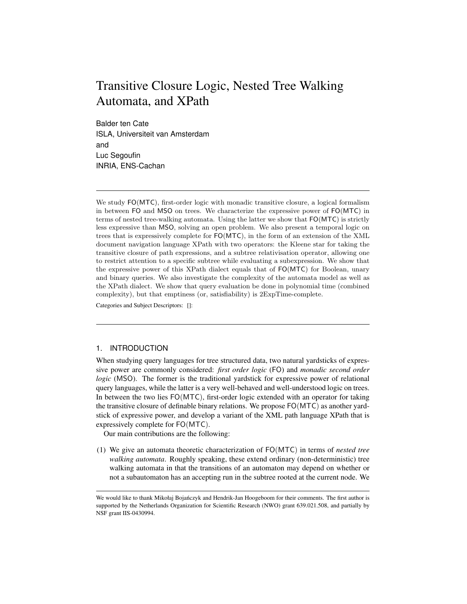# Transitive Closure Logic, Nested Tree Walking Automata, and XPath

Balder ten Cate ISLA, Universiteit van Amsterdam and Luc Segoufin INRIA, ENS-Cachan

We study  $FO(MTC)$ , first-order logic with monadic transitive closure, a logical formalism in between FO and MSO on trees. We characterize the expressive power of FO(MTC) in terms of nested tree-walking automata. Using the latter we show that FO(MTC) is strictly less expressive than MSO, solving an open problem. We also present a temporal logic on trees that is expressively complete for FO(MTC), in the form of an extension of the XML document navigation language XPath with two operators: the Kleene star for taking the transitive closure of path expressions, and a subtree relativisation operator, allowing one to restrict attention to a specific subtree while evaluating a subexpression. We show that the expressive power of this XPath dialect equals that of FO(MTC) for Boolean, unary and binary queries. We also investigate the complexity of the automata model as well as the XPath dialect. We show that query evaluation be done in polynomial time (combined complexity), but that emptiness (or, satisfiability) is 2ExpTime-complete.

Categories and Subject Descriptors: []:

### 1. INTRODUCTION

When studying query languages for tree structured data, two natural yardsticks of expressive power are commonly considered: *first order logic* (FO) and *monadic second order logic* (MSO). The former is the traditional yardstick for expressive power of relational query languages, while the latter is a very well-behaved and well-understood logic on trees. In between the two lies FO(MTC), first-order logic extended with an operator for taking the transitive closure of definable binary relations. We propose FO(MTC) as another yardstick of expressive power, and develop a variant of the XML path language XPath that is expressively complete for FO(MTC).

Our main contributions are the following:

(1) We give an automata theoretic characterization of FO(MTC) in terms of *nested tree walking automata*. Roughly speaking, these extend ordinary (non-deterministic) tree walking automata in that the transitions of an automaton may depend on whether or not a subautomaton has an accepting run in the subtree rooted at the current node. We

We would like to thank Mikołaj Bojańczyk and Hendrik-Jan Hoogeboom for their comments. The first author is supported by the Netherlands Organization for Scientific Research (NWO) grant 639.021.508, and partially by NSF grant IIS-0430994.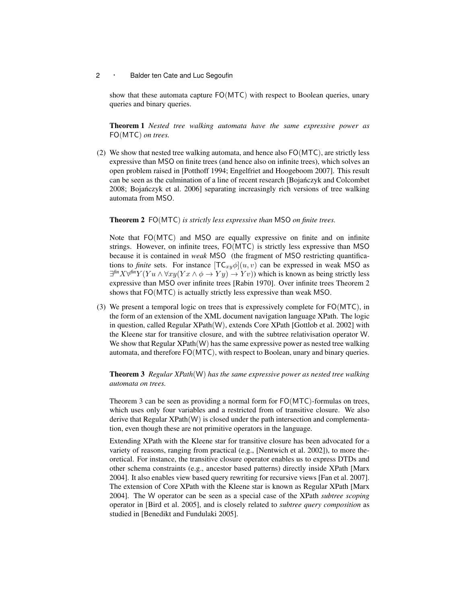show that these automata capture FO(MTC) with respect to Boolean queries, unary queries and binary queries.

Theorem 1 *Nested tree walking automata have the same expressive power as* FO(MTC) *on trees.*

(2) We show that nested tree walking automata, and hence also  $FO(MTC)$ , are strictly less expressive than MSO on finite trees (and hence also on infinite trees), which solves an open problem raised in [Potthoff 1994; Engelfriet and Hoogeboom 2007]. This result can be seen as the culmination of a line of recent research [Bojanczyk and Colcombet ´ 2008; Bojanczyk et al. 2006] separating increasingly rich versions of tree walking ´ automata from MSO.

### Theorem 2 FO(MTC) *is strictly less expressive than* MSO *on finite trees.*

Note that FO(MTC) and MSO are equally expressive on finite and on infinite strings. However, on infinite trees, FO(MTC) is strictly less expressive than MSO because it is contained in *weak* MSO (the fragment of MSO restricting quantifications to *finite* sets. For instance  $[TC_{xy}\phi](u, v)$  can be expressed in weak MSO as  $\exists^{fin} X \forall^{fin} Y (Yu \wedge \forall xy (Yx \wedge \phi \rightarrow Yy) \rightarrow Yv)$ ) which is known as being strictly less expressive than MSO over infinite trees [Rabin 1970]. Over infinite trees Theorem 2 shows that FO(MTC) is actually strictly less expressive than weak MSO.

(3) We present a temporal logic on trees that is expressively complete for FO(MTC), in the form of an extension of the XML document navigation language XPath. The logic in question, called Regular XPath(W), extends Core XPath [Gottlob et al. 2002] with the Kleene star for transitive closure, and with the subtree relativisation operator W. We show that Regular XPath(W) has the same expressive power as nested tree walking automata, and therefore FO(MTC), with respect to Boolean, unary and binary queries.

Theorem 3 *Regular XPath*(W) *has the same expressive power as nested tree walking automata on trees.*

Theorem 3 can be seen as providing a normal form for FO(MTC)-formulas on trees, which uses only four variables and a restricted from of transitive closure. We also derive that Regular XPath(W) is closed under the path intersection and complementation, even though these are not primitive operators in the language.

Extending XPath with the Kleene star for transitive closure has been advocated for a variety of reasons, ranging from practical (e.g., [Nentwich et al. 2002]), to more theoretical. For instance, the transitive closure operator enables us to express DTDs and other schema constraints (e.g., ancestor based patterns) directly inside XPath [Marx 2004]. It also enables view based query rewriting for recursive views [Fan et al. 2007]. The extension of Core XPath with the Kleene star is known as Regular XPath [Marx 2004]. The W operator can be seen as a special case of the XPath *subtree scoping* operator in [Bird et al. 2005], and is closely related to *subtree query composition* as studied in [Benedikt and Fundulaki 2005].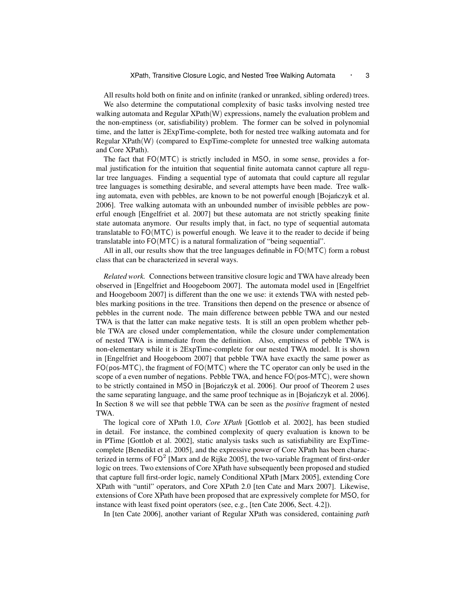All results hold both on finite and on infinite (ranked or unranked, sibling ordered) trees.

We also determine the computational complexity of basic tasks involving nested tree walking automata and Regular XPath(W) expressions, namely the evaluation problem and the non-emptiness (or, satisfiability) problem. The former can be solved in polynomial time, and the latter is 2ExpTime-complete, both for nested tree walking automata and for Regular XPath(W) (compared to ExpTime-complete for unnested tree walking automata and Core XPath).

The fact that FO(MTC) is strictly included in MSO, in some sense, provides a formal justification for the intuition that sequential finite automata cannot capture all regular tree languages. Finding a sequential type of automata that could capture all regular tree languages is something desirable, and several attempts have been made. Tree walking automata, even with pebbles, are known to be not powerful enough [Bojanczyk et al. ´ 2006]. Tree walking automata with an unbounded number of invisible pebbles are powerful enough [Engelfriet et al. 2007] but these automata are not strictly speaking finite state automata anymore. Our results imply that, in fact, no type of sequential automata translatable to FO(MTC) is powerful enough. We leave it to the reader to decide if being translatable into FO(MTC) is a natural formalization of "being sequential".

All in all, our results show that the tree languages definable in FO(MTC) form a robust class that can be characterized in several ways.

*Related work.* Connections between transitive closure logic and TWA have already been observed in [Engelfriet and Hoogeboom 2007]. The automata model used in [Engelfriet and Hoogeboom 2007] is different than the one we use: it extends TWA with nested pebbles marking positions in the tree. Transitions then depend on the presence or absence of pebbles in the current node. The main difference between pebble TWA and our nested TWA is that the latter can make negative tests. It is still an open problem whether pebble TWA are closed under complementation, while the closure under complementation of nested TWA is immediate from the definition. Also, emptiness of pebble TWA is non-elementary while it is 2ExpTime-complete for our nested TWA model. It is shown in [Engelfriet and Hoogeboom 2007] that pebble TWA have exactly the same power as FO(pos-MTC), the fragment of FO(MTC) where the TC operator can only be used in the scope of a even number of negations. Pebble TWA, and hence FO(pos-MTC), were shown to be strictly contained in MSO in [Bojanczyk et al. 2006]. Our proof of Theorem 2 uses ´ the same separating language, and the same proof technique as in [Bojanczyk et al. 2006]. ´ In Section 8 we will see that pebble TWA can be seen as the *positive* fragment of nested TWA.

The logical core of XPath 1.0, *Core XPath* [Gottlob et al. 2002], has been studied in detail. For instance, the combined complexity of query evaluation is known to be in PTime [Gottlob et al. 2002], static analysis tasks such as satisfiability are ExpTimecomplete [Benedikt et al. 2005], and the expressive power of Core XPath has been characterized in terms of  $FO^2$  [Marx and de Rijke 2005], the two-variable fragment of first-order logic on trees. Two extensions of Core XPath have subsequently been proposed and studied that capture full first-order logic, namely Conditional XPath [Marx 2005], extending Core XPath with "until" operators, and Core XPath 2.0 [ten Cate and Marx 2007]. Likewise, extensions of Core XPath have been proposed that are expressively complete for MSO, for instance with least fixed point operators (see, e.g., [ten Cate 2006, Sect. 4.2]).

In [ten Cate 2006], another variant of Regular XPath was considered, containing *path*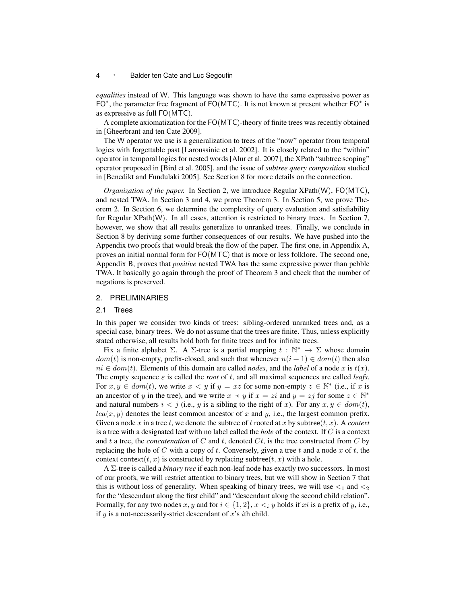*equalities* instead of W. This language was shown to have the same expressive power as FO<sup>\*</sup>, the parameter free fragment of FO(MTC). It is not known at present whether FO<sup>\*</sup> is as expressive as full FO(MTC).

A complete axiomatization for the FO(MTC)-theory of finite trees was recently obtained in [Gheerbrant and ten Cate 2009].

The W operator we use is a generalization to trees of the "now" operator from temporal logics with forgettable past [Laroussinie et al. 2002]. It is closely related to the "within" operator in temporal logics for nested words [Alur et al. 2007], the XPath "subtree scoping" operator proposed in [Bird et al. 2005], and the issue of *subtree query composition* studied in [Benedikt and Fundulaki 2005]. See Section 8 for more details on the connection.

*Organization of the paper.* In Section 2, we introduce Regular XPath(W), FO(MTC), and nested TWA. In Section 3 and 4, we prove Theorem 3. In Section 5, we prove Theorem 2. In Section 6, we determine the complexity of query evaluation and satisfiability for Regular XPath(W). In all cases, attention is restricted to binary trees. In Section 7, however, we show that all results generalize to unranked trees. Finally, we conclude in Section 8 by deriving some further consequences of our results. We have pushed into the Appendix two proofs that would break the flow of the paper. The first one, in Appendix A, proves an initial normal form for FO(MTC) that is more or less folklore. The second one, Appendix B, proves that *positive* nested TWA has the same expressive power than pebble TWA. It basically go again through the proof of Theorem 3 and check that the number of negations is preserved.

# 2. PRELIMINARIES

# 2.1 Trees

In this paper we consider two kinds of trees: sibling-ordered unranked trees and, as a special case, binary trees. We do not assume that the trees are finite. Thus, unless explicitly stated otherwise, all results hold both for finite trees and for infinite trees.

Fix a finite alphabet  $\Sigma$ . A  $\Sigma$ -tree is a partial mapping  $t : \mathbb{N}^* \to \Sigma$  whose domain  $dom(t)$  is non-empty, prefix-closed, and such that whenever  $n(i + 1) \in dom(t)$  then also  $ni \in dom(t)$ . Elements of this domain are called *nodes*, and the *label* of a node x is  $t(x)$ . The empty sequence  $\varepsilon$  is called the *root* of  $t$ , and all maximal sequences are called *leafs*. For  $x, y \in dom(t)$ , we write  $x < y$  if  $y = xz$  for some non-empty  $z \in \mathbb{N}^*$  (i.e., if x is an ancestor of y in the tree), and we write  $x \prec y$  if  $x = zi$  and  $y = zj$  for some  $z \in \mathbb{N}^*$ and natural numbers  $i < j$  (i.e., y is a sibling to the right of x). For any  $x, y \in dom(t)$ ,  $lca(x, y)$  denotes the least common ancestor of x and y, i.e., the largest common prefix. Given a node  $x$  in a tree  $t$ , we denote the subtree of  $t$  rooted at  $x$  by subtree( $t, x$ ). A *context* is a tree with a designated leaf with no label called the *hole* of the context. If C is a context and  $t$  a tree, the *concatenation* of  $C$  and  $t$ , denoted  $Ct$ , is the tree constructed from  $C$  by replacing the hole of C with a copy of t. Conversely, given a tree t and a node x of t, the context context( $t, x$ ) is constructed by replacing subtree( $t, x$ ) with a hole.

A Σ-tree is called a *binary tree* if each non-leaf node has exactly two successors. In most of our proofs, we will restrict attention to binary trees, but we will show in Section 7 that this is without loss of generality. When speaking of binary trees, we will use  $\lt_1$  and  $\lt_2$ for the "descendant along the first child" and "descendant along the second child relation". Formally, for any two nodes x, y and for  $i \in \{1, 2\}$ ,  $x \leq_i y$  holds if x i is a prefix of y, i.e., if  $y$  is a not-necessarily-strict descendant of  $x$ 's *i*th child.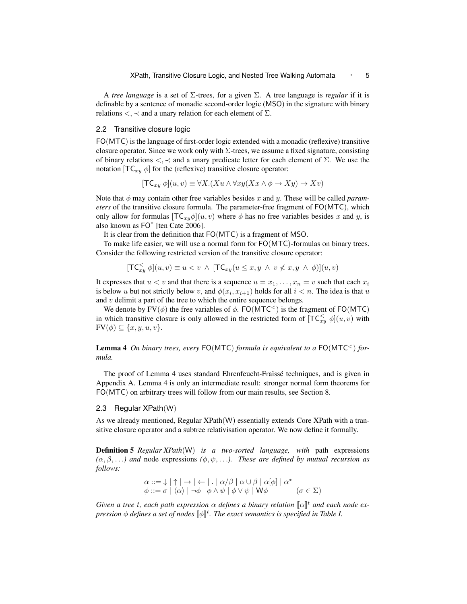A *tree language* is a set of Σ-trees, for a given Σ. A tree language is *regular* if it is definable by a sentence of monadic second-order logic (MSO) in the signature with binary relations  $\lt$ ,  $\lt$  and a unary relation for each element of  $\Sigma$ .

### 2.2 Transitive closure logic

FO(MTC) is the language of first-order logic extended with a monadic (reflexive) transitive closure operator. Since we work only with  $\Sigma$ -trees, we assume a fixed signature, consisting of binary relations  $\lt, \lt$  and a unary predicate letter for each element of  $\Sigma$ . We use the notation  $[TC_{xy} \phi]$  for the (reflexive) transitive closure operator:

$$
[\mathsf{TC}_{xy} \phi](u, v) \equiv \forall X. (Xu \land \forall xy (Xx \land \phi \to Xy) \to Xv)
$$

Note that  $\phi$  may contain other free variables besides x and y. These will be called *parameters* of the transitive closure formula. The parameter-free fragment of FO(MTC), which only allow for formulas  $\left[\text{TC}_{xy}\phi\right](u, v)$  where  $\phi$  has no free variables besides x and y, is also known as FO<sup>∗</sup> [ten Cate 2006].

It is clear from the definition that FO(MTC) is a fragment of MSO.

To make life easier, we will use a normal form for FO(MTC)-formulas on binary trees. Consider the following restricted version of the transitive closure operator:

$$
[\mathsf{TC}^{\leq}_{xy}\ \phi](u,v) \equiv u < v \ \wedge \ [\mathsf{TC}_{xy}(u \leq x, y \ \wedge \ v \not < x, y \ \wedge \ \phi)](u,v)
$$

It expresses that  $u < v$  and that there is a sequence  $u = x_1, \ldots, x_n = v$  such that each  $x_i$ is below u but not strictly below v, and  $\phi(x_i, x_{i+1})$  holds for all  $i < n$ . The idea is that u and  $v$  delimit a part of the tree to which the entire sequence belongs.

We denote by  $FV(\phi)$  the free variables of  $\phi$ . FO(MTC<sup><</sup>) is the fragment of FO(MTC) in which transitive closure is only allowed in the restricted form of  $[TC_{xy}^{\lt} \phi](u, v)$  with  $FV(\phi) \subseteq \{x, y, u, v\}.$ 

Lemma 4 *On binary trees, every* FO(MTC) *formula is equivalent to a* FO(MTC<) *formula.*

The proof of Lemma 4 uses standard Ehrenfeucht-Fraïssé techniques, and is given in Appendix A. Lemma 4 is only an intermediate result: stronger normal form theorems for FO(MTC) on arbitrary trees will follow from our main results, see Section 8.

### 2.3 Regular XPath(W)

As we already mentioned, Regular XPath(W) essentially extends Core XPath with a transitive closure operator and a subtree relativisation operator. We now define it formally.

Definition 5 *Regular XPath*(W) *is a two-sorted language, with* path expressions  $(\alpha, \beta, \ldots)$  and node expressions  $(\phi, \psi, \ldots)$ . These are defined by mutual recursion as *follows:*

$$
\alpha ::= \downarrow | \uparrow | \rightarrow | \leftarrow | \cdot | \alpha/\beta | \alpha \cup \beta | \alpha[\phi] | \alpha^* \n\phi ::= \sigma | \langle \alpha \rangle | \neg \phi | \phi \wedge \psi | \phi \vee \psi | \mathsf{W}\phi \qquad (\sigma \in \Sigma)
$$

*Given a tree t, each path expression*  $\alpha$  *defines a binary relation*  $\llbracket \alpha \rrbracket^t$  *and each node ex*pression  $\phi$  defines a set of nodes  $[\![\phi]\!]^t$ . The exact semantics is specified in Table I.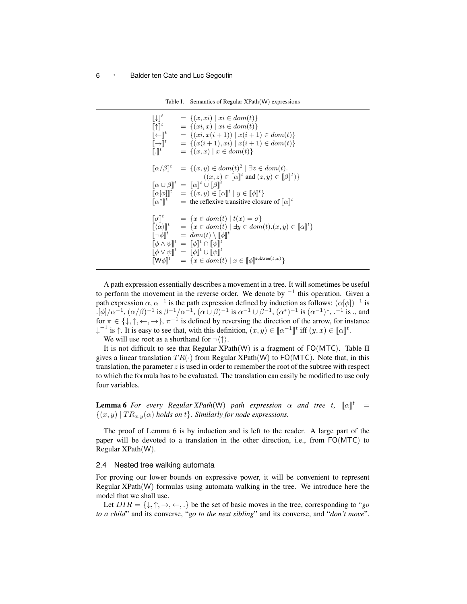Table I. Semantics of Regular XPath(W) expressions

| $\llbracket \downarrow \rrbracket^t$<br>$\llbracket \uparrow \rrbracket^t$<br>$\mathbb{H}$<br>$\mathbb{R} \rightarrow \mathbb{R}^t$<br>$\llbracket . \rrbracket^t$ | $= \{(x, xi) \mid xi \in dom(t)\}\$<br>$= \{(xi, x) \mid xi \in dom(t)\}\$<br>$= \{(xi, x(i+1))   x(i+1) \in dom(t)\}\$<br>$= \{(x(i+1), xi)   x(i+1) \in dom(t)\}\$<br>$= \{(x, x) \mid x \in dom(t)\}\$                                                                                                                                                                                                                                                                                              |
|--------------------------------------------------------------------------------------------------------------------------------------------------------------------|--------------------------------------------------------------------------------------------------------------------------------------------------------------------------------------------------------------------------------------------------------------------------------------------------------------------------------------------------------------------------------------------------------------------------------------------------------------------------------------------------------|
|                                                                                                                                                                    | $[\![\alpha/\beta]\!]^t = \{(x,y) \in dom(t)^2 \mid \exists z \in dom(t).\}$<br>$((x, z) \in [\![\alpha]\!]^t$ and $(z, y) \in [\![\beta]\!]^t)$<br>$[\![\alpha\cup\beta]\!]^t = [\![\alpha]\!]^t \cup [\![\beta]\!]^t$<br>$[\![\alpha[\phi]]\!]^t = \{(x,y) \in [\![\alpha]\!]^t \mid y \in [\![\phi]\!]^t\}$<br>$\[\alpha^*\]^{t}$ = the reflexive transitive closure of $\[\alpha\]^{t}$                                                                                                            |
|                                                                                                                                                                    | $[\![\sigma]\!]^t = \{x \in dom(t) \mid t(x) = \sigma\}$<br>$[\![\langle \alpha \rangle]\!]^t = \{x \in dom(t) \mid \exists y \in dom(t).(x, y) \in [\![\alpha]\!]^t \}$<br>$[\![\neg \phi]\!]^t = dom(t) \setminus [\![\phi]\!]^t$<br>$[\![\phi \wedge \psi]\!]^t = [\![\phi]\!]^t \cap [\![\psi]\!]^t$<br>$[\![\phi \vee \psi]\!]^t = [\![\phi]\!]^t \cup [\![\psi]\!]^t$<br>$\llbracket \mathsf{W}\phi \rrbracket^t = \{x \in dom(t) \mid x \in \llbracket \phi \rrbracket^{\text{subtree}(t,x)}\}$ |

A path expression essentially describes a movement in a tree. It will sometimes be useful to perform the movement in the reverse order. We denote by  $^{-1}$  this operation. Given a path expression  $\alpha$ ,  $\alpha^{-1}$  is the path expression defined by induction as follows:  $(\alpha[\phi])^{-1}$  is  $\frac{\pi}{2}$ .  $\frac{[\phi]}{\alpha^{-1}}$ ,  $\frac{\pi}{2}$  is β<sup>-1</sup>/α<sup>-1</sup>,  $\frac{\pi}{2}$ ,  $\frac{\pi}{2}$  is α<sup>-1</sup> ∪ β<sup>-1</sup>,  $\frac{\pi}{2}$  is  $\frac{\pi}{2}$  is  $\frac{\pi}{2}$  is ., and for  $\pi \in \{\downarrow, \uparrow, \leftarrow, \rightarrow\}, \pi^{-1}$  is defined by reversing the direction of the arrow, for instance  $\downarrow^{-1}$  is  $\uparrow$ . It is easy to see that, with this definition,  $(x, y) \in [\![\alpha]\!]^t$  iff  $(y, x) \in [\![\alpha]\!]^t$ .

We will use root as a shorthand for  $\neg \langle \uparrow \rangle$ .

It is not difficult to see that Regular XPath(W) is a fragment of FO(MTC). Table II gives a linear translation  $TR(\cdot)$  from Regular XPath(W) to FO(MTC). Note that, in this translation, the parameter  $z$  is used in order to remember the root of the subtree with respect to which the formula has to be evaluated. The translation can easily be modified to use only four variables.

**Lemma 6** For every Regular XPath(W) path expression  $\alpha$  and tree t,  $[\alpha]$ <sup>t</sup> =  $\{(x, y) | TR_{x,y}(\alpha)$  holds on t}*.* Similarly for node expressions.

The proof of Lemma 6 is by induction and is left to the reader. A large part of the paper will be devoted to a translation in the other direction, i.e., from FO(MTC) to Regular XPath(W).

# 2.4 Nested tree walking automata

For proving our lower bounds on expressive power, it will be convenient to represent Regular XPath(W) formulas using automata walking in the tree. We introduce here the model that we shall use.

Let  $DIR = {\downarrow, \uparrow, \rightarrow, \leftarrow, \downarrow}$  be the set of basic moves in the tree, corresponding to "*go to a child*" and its converse, "*go to the next sibling*" and its converse, and "*don't move*".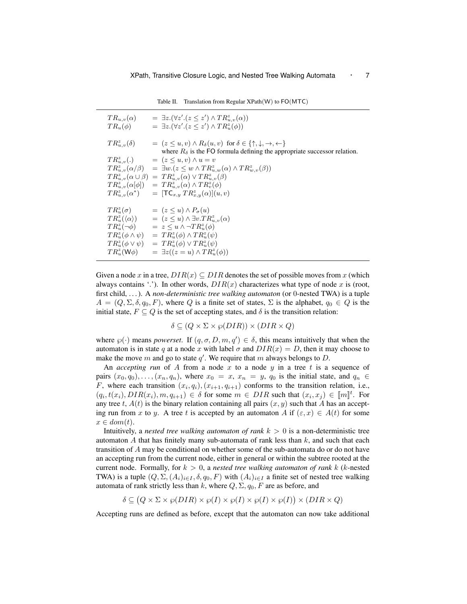| $TR_{u,v}(\alpha)$<br>$TR_u(\phi)$ | $= \exists z.(\forall z'.(z \leq z') \land TR_{u,v}^z(\alpha))$<br>$= \exists z. (\forall z'. (z \leq z') \land TR_u^z(\phi))$                                                                    |
|------------------------------------|---------------------------------------------------------------------------------------------------------------------------------------------------------------------------------------------------|
| $TR_{u,v}^z(\delta)$               | $= (z \leq u, v) \wedge R_{\delta}(u, v)$ for $\delta \in \{\uparrow, \downarrow, \rightarrow, \leftarrow\}$<br>where $R_{\delta}$ is the FO formula defining the appropriate successor relation. |
|                                    | $TR_{u,v}^z(.)$ $= (z \le u, v) \wedge u = v$                                                                                                                                                     |
|                                    | $TR^z_{u,v}(\alpha/\beta) = \exists w.(z \leq w \wedge TR^z_{u,w}(\alpha) \wedge TR^z_{w,v}(\beta))$                                                                                              |
|                                    | $TR_{u,v}^z(\alpha \cup \beta) = TR_{u,v}^z(\alpha) \vee TR_{u,v}^z(\beta)$                                                                                                                       |
|                                    | $TR^z_{u,v}(\alpha[\phi]) = TR^z_{u,v}(\alpha) \wedge TR^z_{v}(\phi)$                                                                                                                             |
|                                    | $TR_{u,v}^z(\alpha^*) = [\mathsf{TC}_{x,y} TR_{x,v}^z(\alpha)](u,v)$                                                                                                                              |
|                                    |                                                                                                                                                                                                   |
| $TR_u^z(\sigma)$                   | $= (z \leq u) \wedge P_{\sigma}(u)$                                                                                                                                                               |
| $TR_u^z(\langle \alpha \rangle)$   | $= (z \leq u) \wedge \exists v \cdot TR_{u,v}^z(\alpha)$                                                                                                                                          |
|                                    | $TR_u^z(\neg\phi) = z \leq u \wedge \neg TR_u^z(\phi)$                                                                                                                                            |
|                                    | $TR_u^z(\phi \wedge \psi) = TR_u^z(\phi) \wedge TR_u^z(\psi)$                                                                                                                                     |
|                                    | $TR_u^z(\phi \vee \psi) = TR_u^z(\phi) \vee TR_u^z(\psi)$                                                                                                                                         |
| $TR_u^z(W\phi)$                    | $= \exists z((z=u) \wedge TR_u^z(\phi))$                                                                                                                                                          |

Table II. Translation from Regular XPath(W) to FO(MTC)

Given a node x in a tree,  $DIR(x) \subseteq DIR$  denotes the set of possible moves from x (which always contains '.'). In other words,  $DIR(x)$  characterizes what type of node x is (root, first child, . . . ). A *non-deterministic tree walking automaton* (or 0-nested TWA) is a tuple  $A = (Q, \Sigma, \delta, q_0, F)$ , where Q is a finite set of states,  $\Sigma$  is the alphabet,  $q_0 \in Q$  is the initial state,  $F \subseteq Q$  is the set of accepting states, and  $\delta$  is the transition relation:

 $\delta \subseteq (Q \times \Sigma \times \wp(DIR)) \times (DIR \times Q)$ 

where  $\wp(\cdot)$  means *powerset*. If  $(q, \sigma, D, m, q') \in \delta$ , this means intuitively that when the automaton is in state q at a node x with label  $\sigma$  and  $DIR(x) = D$ , then it may choose to make the move  $m$  and go to state  $q'$ . We require that  $m$  always belongs to  $D$ .

An *accepting run* of  $A$  from a node  $x$  to a node  $y$  in a tree  $t$  is a sequence of pairs  $(x_0, q_0), \ldots, (x_n, q_n)$ , where  $x_0 = x$ ,  $x_n = y$ ,  $q_0$  is the initial state, and  $q_n \in$ F, where each transition  $(x_i, q_i), (x_{i+1}, q_{i+1})$  conforms to the transition relation, i.e.,  $(q_i, t(x_i), DIR(x_i), m, q_{i+1}) \in \delta$  for some  $m \in DIR$  such that  $(x_i, x_j) \in [m]^t$ . For any tree t,  $A(t)$  is the binary relation containing all pairs  $(x, y)$  such that A has an accepting run from x to y. A tree t is accepted by an automaton A if  $(\varepsilon, x) \in A(t)$  for some  $x \in dom(t)$ .

Intuitively, a *nested tree walking automaton of rank*  $k > 0$  is a non-deterministic tree automaton  $A$  that has finitely many sub-automata of rank less than  $k$ , and such that each transition of A may be conditional on whether some of the sub-automata do or do not have an accepting run from the current node, either in general or within the subtree rooted at the current node. Formally, for  $k > 0$ , a *nested tree walking automaton of rank*  $k$  ( $k$ -nested TWA) is a tuple  $(Q, \Sigma, (A_i)_{i \in I}, \delta, q_0, F)$  with  $(A_i)_{i \in I}$  a finite set of nested tree walking automata of rank strictly less than  $k$ , where  $Q$ ,  $\Sigma$ ,  $q_0$ ,  $F$  are as before, and

$$
\delta \subseteq (Q \times \Sigma \times \wp(DIR) \times \wp(I) \times \wp(I) \times \wp(I) \times \wp(I)) \times (DIR \times Q)
$$

Accepting runs are defined as before, except that the automaton can now take additional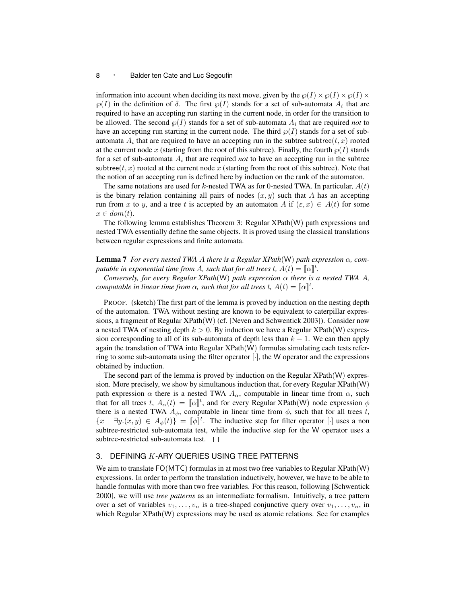information into account when deciding its next move, given by the  $\varphi(I) \times \varphi(I) \times \varphi(I)$  $\wp(I)$  in the definition of  $\delta$ . The first  $\wp(I)$  stands for a set of sub-automata  $A_i$  that are required to have an accepting run starting in the current node, in order for the transition to be allowed. The second  $\wp(I)$  stands for a set of sub-automata  $A_i$  that are required *not* to have an accepting run starting in the current node. The third  $\wp(I)$  stands for a set of subautomata  $A_i$  that are required to have an accepting run in the subtree subtree $(t, x)$  rooted at the current node x (starting from the root of this subtree). Finally, the fourth  $\wp(I)$  stands for a set of sub-automata  $A_i$  that are required *not* to have an accepting run in the subtree subtree( $t, x$ ) rooted at the current node x (starting from the root of this subtree). Note that the notion of an accepting run is defined here by induction on the rank of the automaton.

The same notations are used for k-nested TWA as for 0-nested TWA. In particular,  $A(t)$ is the binary relation containing all pairs of nodes  $(x, y)$  such that A has an accepting run from x to y, and a tree t is accepted by an automaton A if  $(\varepsilon, x) \in A(t)$  for some  $x \in dom(t)$ .

The following lemma establishes Theorem 3: Regular XPath(W) path expressions and nested TWA essentially define the same objects. It is proved using the classical translations between regular expressions and finite automata.

**Lemma 7** *For every nested TWA A there is a Regular XPath*(W) *path expression*  $\alpha$ *, computable in exponential time from A, such that for all trees t,*  $A(t) = [\![\alpha]\!]^t$ *.* 

*Conversely, for every Regular XPath*(W) *path expression*  $\alpha$  *there is a nested TWA A, computable in linear time from*  $\alpha$ *, such that for all trees t,*  $A(t) = \llbracket \alpha \rrbracket^t$ .

PROOF. (sketch) The first part of the lemma is proved by induction on the nesting depth of the automaton. TWA without nesting are known to be equivalent to caterpillar expressions, a fragment of Regular XPath(W) (cf. [Neven and Schwentick 2003]). Consider now a nested TWA of nesting depth  $k > 0$ . By induction we have a Regular XPath(W) expression corresponding to all of its sub-automata of depth less than  $k - 1$ . We can then apply again the translation of TWA into Regular XPath(W) formulas simulating each tests referring to some sub-automata using the filter operator [⋅], the W operator and the expressions obtained by induction.

The second part of the lemma is proved by induction on the Regular XPath(W) expression. More precisely, we show by simultanous induction that, for every Regular XPath(W) path expression  $\alpha$  there is a nested TWA  $A_{\alpha}$ , computable in linear time from  $\alpha$ , such that for all trees t,  $A_{\alpha}(t) = [\alpha]^{t}$ , and for every Regular XPath(W) node expression  $\phi$ there is a nested TWA  $A_{\phi}$ , computable in linear time from  $\phi$ , such that for all trees t,  ${x \mid \exists y.(x, y) \in A_{\phi}(t)} = [\phi]^t$ . The inductive step for filter operator [⋅] uses a non subtree-restricted sub-automata test, while the inductive step for the W operator uses a subtree-restricted sub-automata test.  $\square$ 

#### 3. DEFINING K-ARY QUERIES USING TREE PATTERNS

We aim to translate  $FO(MTC)$  formulas in at most two free variables to Regular XPath $(W)$ expressions. In order to perform the translation inductively, however, we have to be able to handle formulas with more than two free variables. For this reason, following [Schwentick 2000], we will use *tree patterns* as an intermediate formalism. Intuitively, a tree pattern over a set of variables  $v_1, \ldots, v_n$  is a tree-shaped conjunctive query over  $v_1, \ldots, v_n$ , in which Regular  $XPath(W)$  expressions may be used as atomic relations. See for examples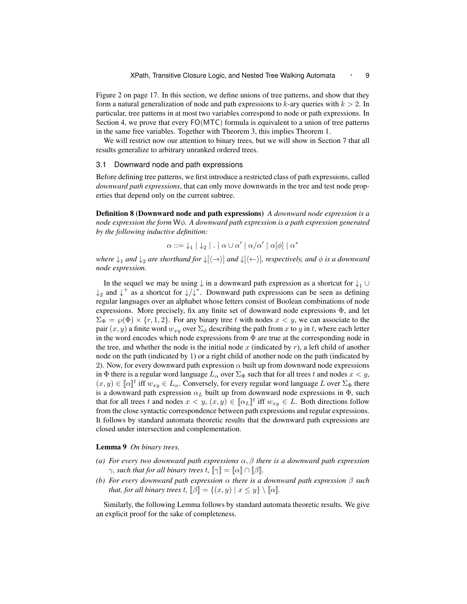Figure 2 on page 17. In this section, we define unions of tree patterns, and show that they form a natural generalization of node and path expressions to  $k$ -ary queries with  $k > 2$ . In particular, tree patterns in at most two variables correspond to node or path expressions. In Section 4, we prove that every FO(MTC) formula is equivalent to a union of tree patterns in the same free variables. Together with Theorem 3, this implies Theorem 1.

We will restrict now our attention to binary trees, but we will show in Section 7 that all results generalize to arbitrary unranked ordered trees.

### 3.1 Downward node and path expressions

Before defining tree patterns, we first introduce a restricted class of path expressions, called *downward path expressions*, that can only move downwards in the tree and test node properties that depend only on the current subtree.

Definition 8 (Downward node and path expressions) *A downward node expression is a node expression the form*  $W\phi$ *. A downward path expression is a path expression generated by the following inductive definition:*

 $\alpha ::= \downarrow_1 | \downarrow_2 |$ .  $\mid \alpha \cup \alpha' | \alpha/\alpha' | \alpha[\phi] | \alpha^*$ 

*where*  $\downarrow$ <sub>1</sub> *and*  $\downarrow$ <sub>2</sub> *are shorthand for*  $\downarrow$ [ $\langle \rightarrow \rangle$ ] *and*  $\downarrow$ [ $\langle \leftarrow \rangle$ ]*, respectively, and*  $\phi$  *is a downward node expression.*

In the sequel we may be using  $\downarrow$  in a downward path expression as a shortcut for  $\downarrow$ <sub>1</sub> ∪  $\downarrow_2$  and  $\downarrow^+$  as a shortcut for  $\downarrow/\downarrow^*$ . Downward path expressions can be seen as defining regular languages over an alphabet whose letters consist of Boolean combinations of node expressions. More precisely, fix any finite set of downward node expressions Φ, and let  $\Sigma_{\Phi} = \wp(\Phi) \times \{r, 1, 2\}$ . For any binary tree t with nodes  $x \leq y$ , we can associate to the pair  $(x, y)$  a finite word  $w_{xy}$  over  $\Sigma_{\phi}$  describing the path from x to y in t, where each letter in the word encodes which node expressions from  $\Phi$  are true at the corresponding node in the tree, and whether the node is the initial node  $x$  (indicated by  $r$ ), a left child of another node on the path (indicated by 1) or a right child of another node on the path (indicated by 2). Now, for every downward path expression  $\alpha$  built up from downward node expressions in  $\Phi$  there is a regular word language  $L_{\alpha}$  over  $\Sigma_{\Phi}$  such that for all trees t and nodes  $x < y$ ,  $(x, y) \in [\![\alpha]\!]^t$  iff  $w_{xy} \in L_\alpha$ . Conversely, for every regular word language L over  $\Sigma_{\Phi}$  there is a downward path expression  $\alpha_L$  built up from downward node expressions in  $\Phi$ , such that for all trees t and nodes  $x < y$ ,  $(x, y) \in [\alpha_L]^t$  iff  $w_{xy} \in L$ . Both directions follow from the close syntactic correspondence between path expressions and regular expressions. It follows by standard automata theoretic results that the downward path expressions are closed under intersection and complementation.

### Lemma 9 *On binary trees,*

- (a) For every two downward path expressions  $\alpha$ ,  $\beta$  there is a downward path expression  $\gamma$ *, such that for all binary trees t,*  $\llbracket \gamma \rrbracket = \llbracket \alpha \rrbracket \cap \llbracket \beta \rrbracket$ *.*
- *(b)* For every downward path expression  $\alpha$  there is a downward path expression  $\beta$  such *that, for all binary trees t,*  $[\![\beta]\!] = \{(x, y) \mid x \leq y\} \setminus [\![\alpha]\!]$ *.*

Similarly, the following Lemma follows by standard automata theoretic results. We give an explicit proof for the sake of completeness.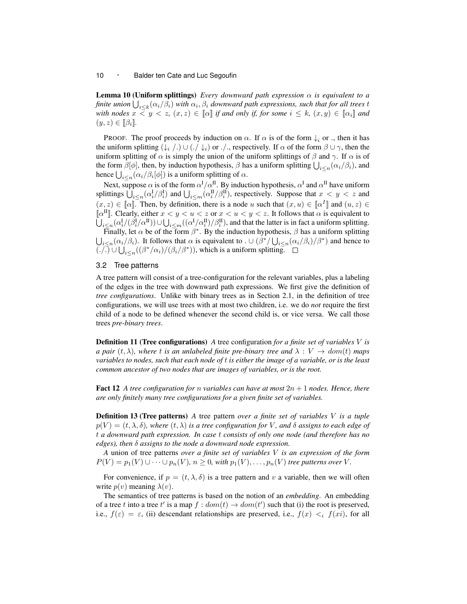**Lemma 10 (Uniform splittings)** *Every downward path expression*  $\alpha$  *is equivalent to a* finite union  $\bigcup_{i\le k}(\alpha_i/\beta_i)$  with  $\alpha_i,\beta_i$  downward path expressions, such that for all trees  $t$ *with nodes*  $x \leq y < z$ ,  $(x, z) \in [\![\alpha]\!]$  *if and only if, for some*  $i \leq k$ *,*  $(x, y) \in [\![\alpha_i]\!]$  *and*  $(y, z) \in [\![\beta_i]\!].$ 

PROOF. The proof proceeds by induction on  $\alpha$ . If  $\alpha$  is of the form  $\downarrow$  or ., then it has the uniform splitting  $(\downarrow_i / .) \cup (./ \downarrow_i)$  or ./., respectively. If  $\alpha$  of the form  $\beta \cup \gamma$ , then the uniform splitting of  $\alpha$  is simply the union of the uniform splittings of  $\beta$  and  $\gamma$ . If  $\alpha$  is of the form  $\beta[\phi]$ , then, by induction hypothesis,  $\beta$  has a uniform splitting  $\bigcup_{i\leq n}(\alpha_i/\beta_i)$ , and hence  $\bigcup_{i \leq n} (\alpha_i/\beta_i[\phi])$  is a uniform splitting of  $\alpha$ .

Next, suppose  $\alpha$  is of the form  $\alpha^I/\alpha^I$ . By induction hypothesis,  $\alpha^I$  and  $\alpha^{II}$  have uniform splittings  $\bigcup_{i\leq n}(\alpha_i^{\{I\}}/\beta_i^{\{I\}})$  and  $\bigcup_{i\leq m}(\alpha_i^{\{I\}}/\beta_i^{\{I\}})$ , respectively. Suppose that  $x < y < z$  and  $(x, z) \in [\![\alpha]\!]$ . Then, by definition, there is a node u such that  $(x, u) \in [\![\alpha]^I\!]$  and  $(u, z) \in [\![\alpha]\!]$  $\llbracket \alpha^{\text{II}} \rrbracket$ . Clearly, either  $x < y < u < z$  or  $x < u < y < z$ . It follows that  $\alpha$  is equivalent to  $\bigcup_{i\leq n}(\alpha^{\text{I}}_i/(\beta^{\text{I}}_i/\alpha^{\text{II}}))\cup\bigcup_{i\leq m}((\alpha^{\text{I}}_i/\alpha^{\text{II}}_i)/\beta^{\text{II}}_i)$ , and that the latter is in fact a uniform splitting.

Finally, let  $\alpha$  be of the form  $\beta^*$ . By the induction hypothesis,  $\beta$  has a uniform splitting  $\bigcup_{i\leq n}(\alpha_i/\beta_i)$ . It follows that  $\alpha$  is equivalent to .  $\bigcup (\beta^*/\bigcup_{i\leq n}(\alpha_i/\beta_i)/\beta^*)$  and hence to  $(\cdot,\overline{\cdot}) \cup \bigcup_{i \leq n} ((\beta^*/\alpha_i)/(\beta_i/\beta^*))$ , which is a uniform splitting.

# 3.2 Tree patterns

A tree pattern will consist of a tree-configuration for the relevant variables, plus a labeling of the edges in the tree with downward path expressions. We first give the definition of *tree configurations*. Unlike with binary trees as in Section 2.1, in the definition of tree configurations, we will use trees with at most two children, i.e. we do *not* require the first child of a node to be defined whenever the second child is, or vice versa. We call those trees *pre-binary trees*.

**Definition 11 (Tree configurations)** A tree configuration *for a finite set of variables* V is *a pair*  $(t, \lambda)$ *, where*  $t$  *is an unlabeled finite pre-binary tree and*  $\lambda : V \to dom(t)$  *maps variables to nodes, such that each node of t is either the image of a variable, or is the least common ancestor of two nodes that are images of variables, or is the root.*

**Fact 12** A tree configuration for *n* variables can have at most  $2n + 1$  nodes. Hence, there *are only finitely many tree configurations for a given finite set of variables.*

**Definition 13 (Tree patterns)** A tree pattern *over a finite set of variables* V *is a tuple*  $p(V) = (t, \lambda, \delta)$ , where  $(t, \lambda)$  is a tree configuration for V, and  $\delta$  assigns to each edge of 𝑡 *a downward path expression. In case* 𝑡 *consists of only one node (and therefore has no edges*), then δ assigns to the node a downward node expression.

*A* union of tree patterns *over a finite set of variables* V *is an expression of the form*  $P(V) = p_1(V) \cup \cdots \cup p_n(V), n \geq 0$ , with  $p_1(V), \ldots, p_n(V)$  tree patterns over V.

For convenience, if  $p = (t, \lambda, \delta)$  is a tree pattern and v a variable, then we will often write  $p(v)$  meaning  $\lambda(v)$ .

The semantics of tree patterns is based on the notion of an *embedding*. An embedding of a tree t into a tree t' is a map  $f: dom(t) \rightarrow dom(t')$  such that (i) the root is preserved, i.e.,  $f(\varepsilon) = \varepsilon$ , (ii) descendant relationships are preserved, i.e.,  $f(x) <_i f(x)$ , for all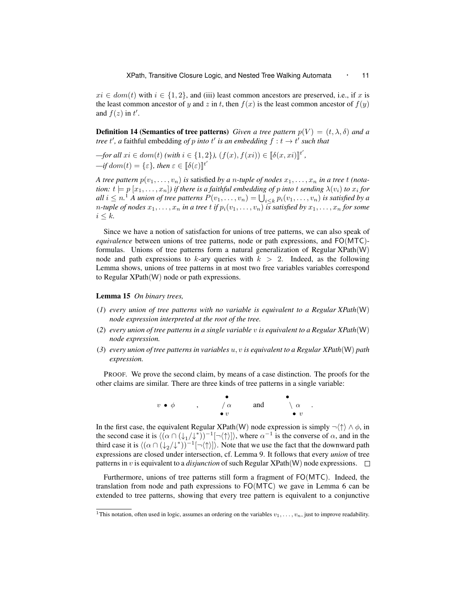$xi \in dom(t)$  with  $i \in \{1, 2\}$ , and (iii) least common ancestors are preserved, i.e., if x is the least common ancestor of y and z in t, then  $f(x)$  is the least common ancestor of  $f(y)$ and  $f(z)$  in  $t'$ .

**Definition 14 (Semantics of tree patterns)** *Given a tree pattern*  $p(V) = (t, \lambda, \delta)$  *and a tree*  $t'$ , a faithful embedding of  $p$  *into*  $t'$  *is an embedding*  $f : t \to t'$  *such that* 

 $\text{---}$ *for all*  $xi \in \text{dom}(t)$  (with  $i \in \{1, 2\}$ ),  $(f(x), f(xi)) \in [\delta(x, xi)]^{t'}$ ,  $-$ *if*  $dom(t) = {\varepsilon}$ *, then*  $\varepsilon \in [\![\delta(\varepsilon)]\!]^{t'}$ 

*A tree pattern*  $p(v_1, \ldots, v_n)$  *is satisfied by a n-tuple of nodes*  $x_1, \ldots, x_n$  *in a tree t (notation:*  $t \models p[x_1, \ldots, x_n]$ ) if there is a faithful embedding of  $p$  into  $t$  sending  $\lambda(v_i)$  to  $x_i$  for  $all$   $i \leq n.$ <sup>1</sup> A union of tree patterns  $P(v_1, \ldots, v_n) = \bigcup_{i \leq k} p_i(v_1, \ldots, v_n)$  is satisfied by a  $n$ -tuple of nodes  $x_1, \ldots, x_n$  in a tree t if  $p_i(v_1, \ldots, v_n)$  is satisfied by  $x_1, \ldots, x_n$  for some  $i \leq k$ .

Since we have a notion of satisfaction for unions of tree patterns, we can also speak of *equivalence* between unions of tree patterns, node or path expressions, and FO(MTC) formulas. Unions of tree patterns form a natural generalization of Regular  $XPath(W)$ node and path expressions to k-ary queries with  $k > 2$ . Indeed, as the following Lemma shows, unions of tree patterns in at most two free variables variables correspond to Regular XPath(W) node or path expressions.

#### Lemma 15 *On binary trees,*

- (*1*) *every union of tree patterns with no variable is equivalent to a Regular XPath*(W) *node expression interpreted at the root of the tree.*
- (2) every union of tree patterns in a single variable  $v$  is equivalent to a Regular XPath(W) *node expression.*
- (*3*) *every union of tree patterns in variables* 𝑢, 𝑣 *is equivalent to a Regular XPath*(W) *path expression.*

PROOF. We prove the second claim, by means of a case distinction. The proofs for the other claims are similar. There are three kinds of tree patterns in a single variable:



In the first case, the equivalent Regular XPath(W) node expression is simply  $\neg\langle\uparrow\rangle \wedge \phi$ , in the second case it is  $\langle (\alpha \cap (\downarrow_1/\downarrow^*))^{-1} [\neg \langle \uparrow \rangle] \rangle$ , where  $\alpha^{-1}$  is the converse of  $\alpha$ , and in the third case it is  $\langle (\alpha \cap (\downarrow_2/\downarrow^*))^{-1} [\neg(\uparrow)] \rangle$ . Note that we use the fact that the downward path expressions are closed under intersection, cf. Lemma 9. It follows that every *union* of tree patterns in v is equivalent to a *disjunction* of such Regular XPath $(W)$  node expressions.  $\square$ 

Furthermore, unions of tree patterns still form a fragment of FO(MTC). Indeed, the translation from node and path expressions to FO(MTC) we gave in Lemma 6 can be extended to tree patterns, showing that every tree pattern is equivalent to a conjunctive

<sup>&</sup>lt;sup>1</sup>This notation, often used in logic, assumes an ordering on the variables  $v_1, \ldots, v_n$ , just to improve readability.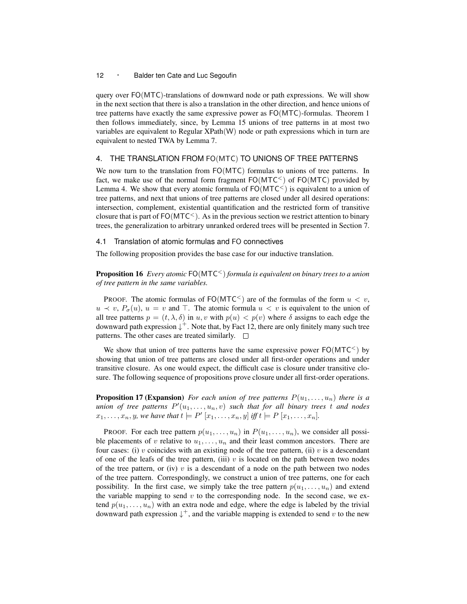query over FO(MTC)-translations of downward node or path expressions. We will show in the next section that there is also a translation in the other direction, and hence unions of tree patterns have exactly the same expressive power as FO(MTC)-formulas. Theorem 1 then follows immediately, since, by Lemma 15 unions of tree patterns in at most two variables are equivalent to Regular XPath(W) node or path expressions which in turn are equivalent to nested TWA by Lemma 7.

# 4. THE TRANSLATION FROM FO(MTC) TO UNIONS OF TREE PATTERNS

We now turn to the translation from FO(MTC) formulas to unions of tree patterns. In fact, we make use of the normal form fragment  $FO(MTC^<)$  of  $FO(MTC)$  provided by Lemma 4. We show that every atomic formula of  $FO(MTC^<)$  is equivalent to a union of tree patterns, and next that unions of tree patterns are closed under all desired operations: intersection, complement, existential quantification and the restricted form of transitive closure that is part of  $FO(MTC^<)$ . As in the previous section we restrict attention to binary trees, the generalization to arbitrary unranked ordered trees will be presented in Section 7.

4.1 Translation of atomic formulas and FO connectives

The following proposition provides the base case for our inductive translation.

Proposition 16 *Every atomic* FO(MTC<) *formula is equivalent on binary trees to a union of tree pattern in the same variables.*

PROOF. The atomic formulas of  $FO(MTC^{\lt})$  are of the formulas of the form  $u < v$ ,  $u \prec v$ ,  $P_{\sigma}(u)$ ,  $u = v$  and  $\top$ . The atomic formula  $u < v$  is equivalent to the union of all tree patterns  $p = (t, \lambda, \delta)$  in  $u, v$  with  $p(u) < p(v)$  where  $\delta$  assigns to each edge the downward path expression  $\downarrow^+$ . Note that, by Fact 12, there are only finitely many such tree patterns. The other cases are treated similarly.  $\square$ 

We show that union of tree patterns have the same expressive power  $FO(MTC^{\ltq})$  by showing that union of tree patterns are closed under all first-order operations and under transitive closure. As one would expect, the difficult case is closure under transitive closure. The following sequence of propositions prove closure under all first-order operations.

**Proposition 17 (Expansion)** For each union of tree patterns  $P(u_1, \ldots, u_n)$  there is a  $\mathit{union}$  of tree patterns  $P'(u_1, \ldots, u_n, v)$  such that for all binary trees t and nodes  $x_1, \ldots, x_n, y$ , we have that  $t \models P' [x_1, \ldots, x_n, y]$  iff  $t \models P [x_1, \ldots, x_n]$ .

PROOF. For each tree pattern  $p(u_1, \ldots, u_n)$  in  $P(u_1, \ldots, u_n)$ , we consider all possible placements of v relative to  $u_1, \ldots, u_n$  and their least common ancestors. There are four cases: (i) v coincides with an existing node of the tree pattern, (ii) v is a descendant of one of the leafs of the tree pattern, (iii)  $v$  is located on the path between two nodes of the tree pattern, or (iv)  $v$  is a descendant of a node on the path between two nodes of the tree pattern. Correspondingly, we construct a union of tree patterns, one for each possibility. In the first case, we simply take the tree pattern  $p(u_1, \ldots, u_n)$  and extend the variable mapping to send  $v$  to the corresponding node. In the second case, we extend  $p(u_1, \ldots, u_n)$  with an extra node and edge, where the edge is labeled by the trivial downward path expression  $\downarrow^+$ , and the variable mapping is extended to send v to the new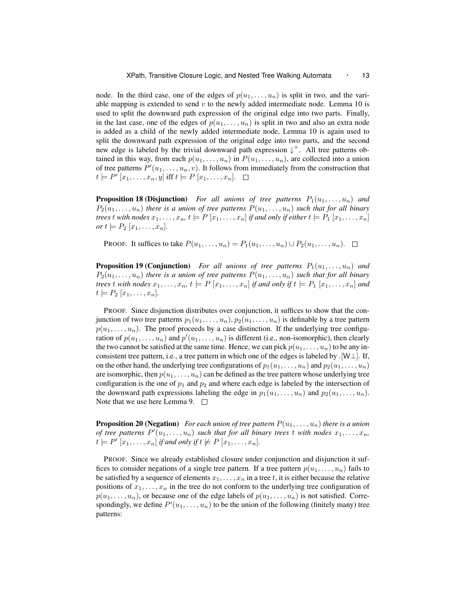node. In the third case, one of the edges of  $p(u_1, \ldots, u_n)$  is split in two, and the variable mapping is extended to send  $v$  to the newly added intermediate node. Lemma 10 is used to split the downward path expression of the original edge into two parts. Finally, in the last case, one of the edges of  $p(u_1, \ldots, u_n)$  is split in two and also an extra node is added as a child of the newly added intermediate node, Lemma 10 is again used to split the downward path expression of the original edge into two parts, and the second new edge is labeled by the trivial downward path expression  $\downarrow^+$ . All tree patterns obtained in this way, from each  $p(u_1, \ldots, u_n)$  in  $P(u_1, \ldots, u_n)$ , are collected into a union of tree patterns  $P'(u_1, \ldots, u_n, v)$ . It follows from immediately from the construction that  $t \models P'[x_1, \ldots, x_n, y]$  iff  $t \models P[x_1, \ldots, x_n]$ .

**Proposition 18 (Disjunction)** *For all unions of tree patterns*  $P_1(u_1, \ldots, u_n)$  *and*  $P_2(u_1, \ldots, u_n)$  there is a union of tree patterns  $P(u_1, \ldots, u_n)$  such that for all binary *trees t* with nodes  $x_1, \ldots, x_n$ ,  $t \models P[x_1, \ldots, x_n]$  *if and only if either*  $t \models P_1[x_1, \ldots, x_n]$ *or*  $t \models P_2 [x_1, \ldots, x_n]$ *.* 

PROOF. It suffices to take  $P(u_1, \ldots, u_n) = P_1(u_1, \ldots, u_n) \cup P_2(u_1, \ldots, u_n)$ .  $\Box$ 

**Proposition 19 (Conjunction)** *For all unions of tree patterns*  $P_1(u_1, \ldots, u_n)$  *and*  $P_2(u_1, \ldots, u_n)$  there is a union of tree patterns  $P(u_1, \ldots, u_n)$  such that for all binary *trees t* with nodes  $x_1, \ldots, x_n$ ,  $t \models P[x_1, \ldots, x_n]$  *if and only if*  $t \models P_1[x_1, \ldots, x_n]$  *and*  $t \models P_2 [x_1, \ldots, x_n].$ 

PROOF. Since disjunction distributes over conjunction, it suffices to show that the conjunction of two tree patterns  $p_1(u_1, \ldots, u_n)$ ,  $p_2(u_1, \ldots, u_n)$  is definable by a tree pattern  $p(u_1, \ldots, u_n)$ . The proof proceeds by a case distinction. If the underlying tree configuration of  $p(u_1, \ldots, u_n)$  and  $p'(u_1, \ldots, u_n)$  is different (i.e., non-isomorphic), then clearly the two cannot be satisfied at the same time. Hence, we can pick  $p(u_1, \ldots, u_n)$  to be any inconsistent tree pattern, i.e., a tree pattern in which one of the edges is labeled by .[W $\perp$ ]. If, on the other hand, the underlying tree configurations of  $p_1(u_1, \ldots, u_n)$  and  $p_2(u_1, \ldots, u_n)$ are isomorphic, then  $p(u_1, \ldots, u_n)$  can be defined as the tree pattern whose underlying tree configuration is the one of  $p_1$  and  $p_2$  and where each edge is labeled by the intersection of the downward path expressions labeling the edge in  $p_1(u_1, \ldots, u_n)$  and  $p_2(u_1, \ldots, u_n)$ . Note that we use here Lemma 9.  $\Box$ 

**Proposition 20 (Negation)** *For each union of tree pattern*  $P(u_1, \ldots, u_n)$  *there is a union of tree patterns*  $P'(u_1, \ldots, u_n)$  *such that for all binary trees t with nodes*  $x_1, \ldots, x_n$ ,  $t \models P'[x_1, \ldots, x_n]$  if and only if  $t \not\models P[x_1, \ldots, x_n]$ .

PROOF. Since we already established closure under conjunction and disjunction it suffices to consider negations of a single tree pattern. If a tree pattern  $p(u_1, \ldots, u_n)$  fails to be satisfied by a sequence of elements  $x_1, \ldots, x_n$  in a tree t, it is either because the relative positions of  $x_1, \ldots, x_n$  in the tree do not conform to the underlying tree configuration of  $p(u_1, \ldots, u_n)$ , or because one of the edge labels of  $p(u_1, \ldots, u_n)$  is not satisfied. Correspondingly, we define  $P'(u_1, \ldots, u_n)$  to be the union of the following (finitely many) tree patterns: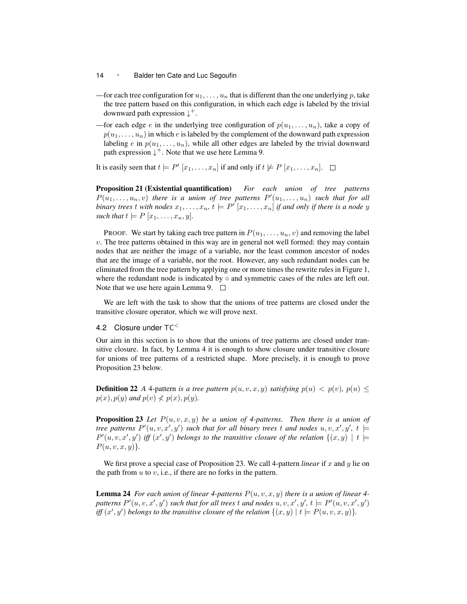- —for each tree configuration for  $u_1, \ldots, u_n$  that is different than the one underlying p, take the tree pattern based on this configuration, in which each edge is labeled by the trivial downward path expression  $\downarrow^+$ .
- —for each edge  $e$  in the underlying tree configuration of  $p(u_1, \ldots, u_n)$ , take a copy of  $p(u_1, \ldots, u_n)$  in which e is labeled by the complement of the downward path expression labeling e in  $p(u_1, \ldots, u_n)$ , while all other edges are labeled by the trivial downward path expression  $\downarrow^+$ . Note that we use here Lemma 9.

It is easily seen that  $t \models P' [x_1, \ldots, x_n]$  if and only if  $t \not\models P [x_1, \ldots, x_n]$ .

Proposition 21 (Existential quantification) *For each union of tree patterns*  $P(u_1, \ldots, u_n, v)$  there is a union of tree patterns  $P'(u_1, \ldots, u_n)$  such that for all *binary trees* t with nodes  $x_1, \ldots, x_n$ ,  $t \models P'$   $[x_1, \ldots, x_n]$  if and only if there is a node y *such that*  $t \models P[x_1, \ldots, x_n, y]$ .

PROOF. We start by taking each tree pattern in  $P(u_1, \ldots, u_n, v)$  and removing the label  $v$ . The tree patterns obtained in this way are in general not well formed: they may contain nodes that are neither the image of a variable, nor the least common ancestor of nodes that are the image of a variable, nor the root. However, any such redundant nodes can be eliminated from the tree pattern by applying one or more times the rewrite rules in Figure 1, where the redundant node is indicated by ∘ and symmetric cases of the rules are left out. Note that we use here again Lemma 9.  $\Box$ 

We are left with the task to show that the unions of tree patterns are closed under the transitive closure operator, which we will prove next.

### 4.2 Closure under TC<sup>&</sup>lt;

Our aim in this section is to show that the unions of tree patterns are closed under transitive closure. In fact, by Lemma 4 it is enough to show closure under transitive closure for unions of tree patterns of a restricted shape. More precisely, it is enough to prove Proposition 23 below.

**Definition 22** *A* 4-pattern *is a tree pattern*  $p(u, v, x, y)$  *satisfying*  $p(u) < p(v)$ ,  $p(u) \leq$  $p(x)$ ,  $p(y)$  and  $p(v) \neq p(x)$ ,  $p(y)$ .

**Proposition 23** Let  $P(u, v, x, y)$  be a union of 4-patterns. Then there is a union of *tree patterns*  $P'(u, v, x', y')$  such that for all binary trees t and nodes  $u, v, x', y', t$   $\models$  $P'(u, v, x', y')$  iff  $(x', y')$  belongs to the transitive closure of the relation  $\{(x, y) \mid t \models$  $P(u, v, x, y)$ .

We first prove a special case of Proposition 23. We call 4-pattern *linear* if  $x$  and  $y$  lie on the path from  $u$  to  $v$ , i.e., if there are no forks in the pattern.

**Lemma 24** *For each union of linear 4-patterns*  $P(u, v, x, y)$  *there is a union of linear 4*patterns  $P'(u, v, x', y')$  such that for all trees  $t$  and nodes  $u, v, x', y', t \models P'(u, v, x', y')$ *iff*  $(x', y')$  *belongs to the transitive closure of the relation*  $\{(x, y) | t \models P(u, v, x, y)\}.$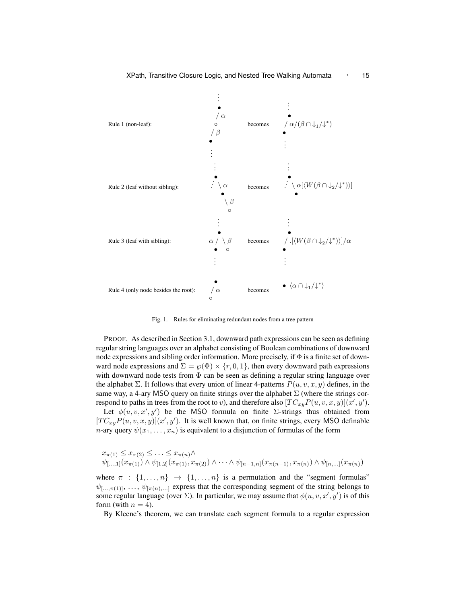

Fig. 1. Rules for eliminating redundant nodes from a tree pattern

PROOF. As described in Section 3.1, downward path expressions can be seen as defining regular string languages over an alphabet consisting of Boolean combinations of downward node expressions and sibling order information. More precisely, if  $\Phi$  is a finite set of downward node expressions and  $\Sigma = \wp(\Phi) \times \{r, 0, 1\}$ , then every downward path expressions with downward node tests from  $\Phi$  can be seen as defining a regular string language over the alphabet  $\Sigma$ . It follows that every union of linear 4-patterns  $P(u, v, x, y)$  defines, in the same way, a 4-ary MSO query on finite strings over the alphabet  $\Sigma$  (where the strings correspond to paths in trees from the root to v), and therefore also  $[T C_{xy} P(u,v,x,y)](x',y').$ 

Let  $\phi(u, v, x', y')$  be the MSO formula on finite  $\Sigma$ -strings thus obtained from  $[TC_{xy}P(u, v, x, y)](x', y')$ . It is well known that, on finite strings, every MSO definable *n*-ary query  $\psi(x_1, \ldots, x_n)$  is equivalent to a disjunction of formulas of the form

$$
x_{\pi(1)} \leq x_{\pi(2)} \leq \ldots \leq x_{\pi(n)} \wedge \n\psi_{[...,1]}(x_{\pi(1)}) \wedge \psi_{[1,2]}(x_{\pi(1)}, x_{\pi(2)}) \wedge \cdots \wedge \psi_{[n-1,n]}(x_{\pi(n-1)}, x_{\pi(n)}) \wedge \psi_{[n,...]}(x_{\pi(n)})
$$

where  $\pi$  :  $\{1, \ldots, n\}$   $\rightarrow$   $\{1, \ldots, n\}$  is a permutation and the "segment formulas"  $\psi$ [..., $\pi$ (1)], ...,  $\psi$ [ $\pi$ (*n*),...] express that the corresponding segment of the string belongs to some regular language (over  $\Sigma$ ). In particular, we may assume that  $\phi(u, v, x', y')$  is of this form (with  $n = 4$ ).

By Kleene's theorem, we can translate each segment formula to a regular expression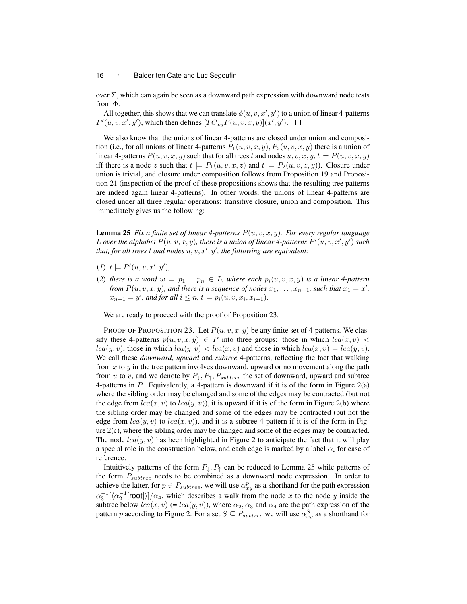over Σ, which can again be seen as a downward path expression with downward node tests from Φ.

All together, this shows that we can translate  $\phi(u, v, x', y')$  to a union of linear 4-patterns  $P'(u, v, x', y')$ , which then defines  $[TC_{xy}P(u, v, x, y)](x', y')$ .

We also know that the unions of linear 4-patterns are closed under union and composition (i.e., for all unions of linear 4-patterns  $P_1(u, v, x, y), P_2(u, v, x, y)$  there is a union of linear 4-patterns  $P(u, v, x, y)$  such that for all trees t and nodes  $u, v, x, y, t \models P(u, v, x, y)$ iff there is a node z such that  $t \models P_1(u, v, x, z)$  and  $t \models P_2(u, v, z, y)$ ). Closure under union is trivial, and closure under composition follows from Proposition 19 and Proposition 21 (inspection of the proof of these propositions shows that the resulting tree patterns are indeed again linear 4-patterns). In other words, the unions of linear 4-patterns are closed under all three regular operations: transitive closure, union and composition. This immediately gives us the following:

**Lemma 25** *Fix a finite set of linear 4-patterns*  $P(u, v, x, y)$ *. For every regular language* L over the alphabet  $P(u, v, x, y)$ , there is a union of linear 4-patterns  $P'(u, v, x', y')$  such  $\mu$  *that, for all trees*  $t$  *and nodes*  $u, v, x', y'$ , the following are equivalent:

- $(I) \, t \models P'(u, v, x', y'),$
- (2) there is a word  $w = p_1 \dots p_n \in L$ , where each  $p_i(u, v, x, y)$  is a linear 4-pattern *from*  $P(u, v, x, y)$ , and there is a sequence of nodes  $x_1, \ldots, x_{n+1}$ , such that  $x_1 = x'$ ,  $x_{n+1} = y'$ , and for all  $i \leq n$ ,  $t \models p_i(u, v, x_i, x_{i+1})$ .

We are ready to proceed with the proof of Proposition 23.

PROOF OF PROPOSITION 23. Let  $P(u, v, x, y)$  be any finite set of 4-patterns. We classify these 4-patterns  $p(u, v, x, y) \in P$  into three groups: those in which  $lca(x, v)$  <  $lca(y, v)$ , those in which  $lca(y, v) < lca(x, v)$  and those in which  $lca(x, v) = lca(y, v)$ . We call these *downward*, *upward* and *subtree* 4-patterns, reflecting the fact that walking from  $x$  to  $y$  in the tree pattern involves downward, upward or no movement along the path from u to v, and we denote by  $P_{\downarrow}, P_{\uparrow}, P_{subtree}$  the set of downward, upward and subtree 4-patterns in  $P$ . Equivalently, a 4-pattern is downward if it is of the form in Figure 2(a) where the sibling order may be changed and some of the edges may be contracted (but not the edge from  $lca(x, v)$  to  $lca(y, v)$ ), it is upward if it is of the form in Figure 2(b) where the sibling order may be changed and some of the edges may be contracted (but not the edge from  $lca(y, v)$  to  $lca(x, v)$ ), and it is a subtree 4-pattern if it is of the form in Figure 2(c), where the sibling order may be changed and some of the edges may be contracted. The node  $lca(y, v)$  has been highlighted in Figure 2 to anticipate the fact that it will play a special role in the construction below, and each edge is marked by a label  $\alpha_i$  for ease of reference.

Intuitively patterns of the form  $P_{\downarrow}, P_{\uparrow}$  can be reduced to Lemma 25 while patterns of the form  $P_{subtree}$  needs to be combined as a downward node expression. In order to achieve the latter, for  $p \in P_{subtree}$ , we will use  $\alpha_{xy}^p$  as a shorthand for the path expression  $\alpha_3^{-1}[\langle \alpha_2^{-1}$ [root])] $\alpha_4$ , which describes a walk from the node x to the node y inside the subtree below  $lca(x, v)$  (=  $lca(y, v)$ ), where  $\alpha_2, \alpha_3$  and  $\alpha_4$  are the path expression of the pattern p according to Figure 2. For a set  $S \subseteq P_{subtree}$  we will use  $\alpha_{xy}^S$  as a shorthand for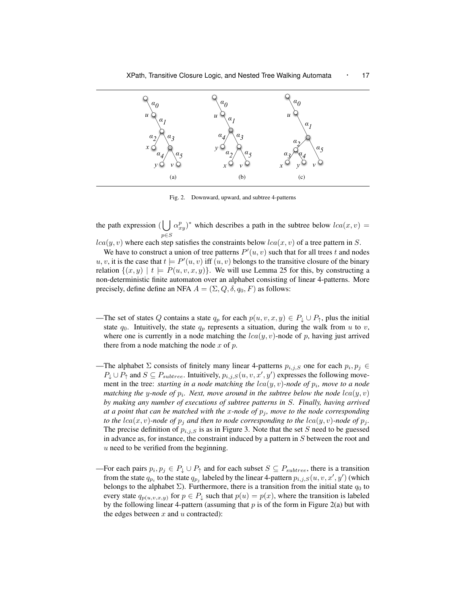

Fig. 2. Downward, upward, and subtree 4-patterns

the path expression  $\left(\bigcup \alpha_{xy}^p\right)^*$  which describes a path in the subtree below  $lca(x, v)$  =  $p{\in}S$ 

 $lca(y, v)$  where each step satisfies the constraints below  $lca(x, v)$  of a tree pattern in S.

We have to construct a union of tree patterns  $P'(u, v)$  such that for all trees t and nodes  $u, v$ , it is the case that  $t \models P'(u, v)$  iff  $(u, v)$  belongs to the transitive closure of the binary relation  $\{(x, y) | t \models P(u, v, x, y)\}.$  We will use Lemma 25 for this, by constructing a non-deterministic finite automaton over an alphabet consisting of linear 4-patterns. More precisely, define define an NFA  $A = (\Sigma, Q, \delta, q_0, F)$  as follows:

- —The set of states Q contains a state  $q_p$  for each  $p(u, v, x, y) \in P_{\downarrow} \cup P_{\uparrow}$ , plus the initial state  $q_0$ . Intuitively, the state  $q_p$  represents a situation, during the walk from  $u$  to  $v$ , where one is currently in a node matching the  $lca(y, v)$ -node of p, having just arrived there from a node matching the node  $x$  of  $p$ .
- —The alphabet  $\Sigma$  consists of finitely many linear 4-patterns  $p_{i,j,S}$  one for each  $p_i, p_j \in$  $P_{\downarrow} \cup P_{\uparrow}$  and  $S \subseteq P_{subtree}$ . Intuitively,  $p_{i,j,S}(u, v, x', y')$  expresses the following movement in the tree: *starting in a node matching the*  $lca(y, v)$ *-node of*  $p_i$ *, move to a node matching the y-node of*  $p_i$ *. Next, move around in the subtree below the node*  $lca(y, v)$ *by making any number of executions of subtree patterns in* S. Finally, having arrived *at a point that can be matched with the x-node of*  $p_i$ *, move to the node corresponding to the*  $lca(x, v)$ -node of  $p_i$  and then to node corresponding to the  $lca(y, v)$ -node of  $p_i$ . The precise definition of  $p_{i,j,S}$  is as in Figure 3. Note that the set S need to be guessed in advance as, for instance, the constraint induced by a pattern in  $S$  between the root and  $u$  need to be verified from the beginning.
- —For each pairs  $p_i, p_j \in P_{\downarrow} \cup P_{\uparrow}$  and for each subset  $S \subseteq P_{subtree}$ , there is a transition from the state  $q_{p_i}$  to the state  $q_{p_j}$  labeled by the linear 4-pattern  $p_{i,j,S}(u, v, x', y')$  (which belongs to the alphabet  $\Sigma$ ). Furthermore, there is a transition from the initial state  $q_0$  to every state  $q_{p(u,v,x,y)}$  for  $p \in P_{\downarrow}$  such that  $p(u) = p(x)$ , where the transition is labeled by the following linear 4-pattern (assuming that  $p$  is of the form in Figure 2(a) but with the edges between  $x$  and  $u$  contracted):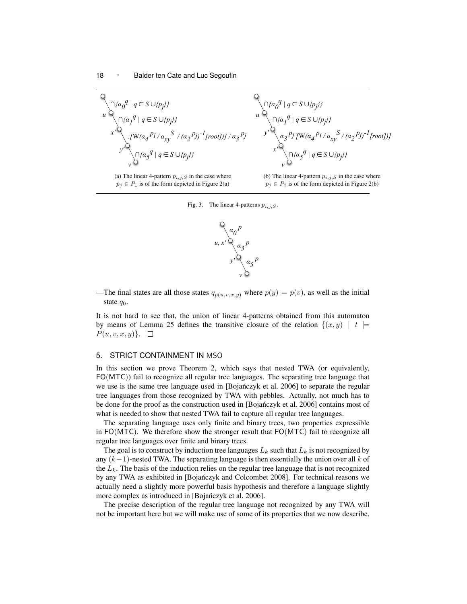$$
\begin{array}{ccc}\n\bigcap_{\{a_0^q \mid q \in S \cup \{p_j\}\}} & \bigcap_{u \in S \cup \{p_j\}}\{a_0^q \mid q \in S \cup \{p_j\}\} & u & \bigcap_{\{a_0^q \mid q \in S \cup \{p_j\}\}}\{a_0^q \mid q \in S \cup \{p_j\}\} & u & \bigcap_{\{a_1^q \mid q \in S \cup \{p_j\}\} & u & \bigcap_{\{a_2^q \mid q \in S \cup \{p_j\}\} & u & \bigcap_{\{a_3^q \mid p \in S \cup \{p_j\}\} & u & \bigcap_{\{a_4^q \mid q \in S \cup \{p_j\}\} & u & \bigcap_{\{a_5^q \mid q \in S \cup \{p_j\}\} & u & \bigcap_{\{a_6^q \mid q \in S \cup \{p_j\}\} & u & \bigcap_{\{a_7^q \mid q \in S \cup \{p_j\}\} & u & \bigcap_{\{a_7^q \mid q \in S \cup \{p_j\}\} & u & \bigcap_{\{a_8^q \mid q \in S \cup \{p_j\}\} & u & \bigcap_{\{a_9^q \mid q \in S \cup \{p_j\}\} & u & \bigcap_{\{a_9^q \mid q \in S \cup \{p_j\}\} & u & \bigcap_{\{a_9^q \mid q \in S \cup \{p_j\}\} & u & \bigcap_{\{a_9^q \mid q \in S \cup \{p_j\}\} & u & \bigcap_{\{a_9^q \mid q \in S \cup \{p_j\}\} & u & \bigcap_{\{a_9^q \mid q \in S \cup \{p_j\}\} & u & \bigcap_{\{a_9^q \mid q \in S \cup \{p_j\}\} & u & \bigcap_{\{a_9^q \mid q \in S \cup \{p_j\}\} & u & \bigcap_{\{a_9^q \mid q \in S \cup \{p_j\}\} & u & \bigcap_{\{a_9^q \mid q \in S \cup \{p_j\}\} & u & \bigcap_{\{a_9^q \mid q \in S \cup \{p_j\}\} & u & \bigcap_{\{a_9^q \mid q \in S \cup \{p_j\}\} & u & \bigcap_{\{a_9^q \mid q \in S \cup \{p_j\
$$







—The final states are all those states  $q_{p(u,v,x,y)}$  where  $p(y) = p(v)$ , as well as the initial state  $q_0$ .

It is not hard to see that, the union of linear 4-patterns obtained from this automaton by means of Lemma 25 defines the transitive closure of the relation  $\{(x, y) | t \models$  $P(u, v, x, y)$ .  $\Box$ 

### 5. STRICT CONTAINMENT IN MSO

In this section we prove Theorem 2, which says that nested TWA (or equivalently, FO(MTC)) fail to recognize all regular tree languages. The separating tree language that we use is the same tree language used in [Bojańczyk et al. 2006] to separate the regular tree languages from those recognized by TWA with pebbles. Actually, not much has to be done for the proof as the construction used in [Bojanczyk et al. 2006] contains most of what is needed to show that nested TWA fail to capture all regular tree languages.

The separating language uses only finite and binary trees, two properties expressible in  $FO(MTC)$ . We therefore show the stronger result that  $FO(MTC)$  fail to recognize all regular tree languages over finite and binary trees.

The goal is to construct by induction tree languages  $L_k$  such that  $L_k$  is not recognized by any  $(k-1)$ -nested TWA. The separating language is then essentially the union over all  $k$  of the  $L_k$ . The basis of the induction relies on the regular tree language that is not recognized by any TWA as exhibited in [Bojanczyk and Colcombet 2008]. For technical reasons we ´ actually need a slightly more powerful basis hypothesis and therefore a language slightly more complex as introduced in [Bojańczyk et al. 2006].

The precise description of the regular tree language not recognized by any TWA will not be important here but we will make use of some of its properties that we now describe.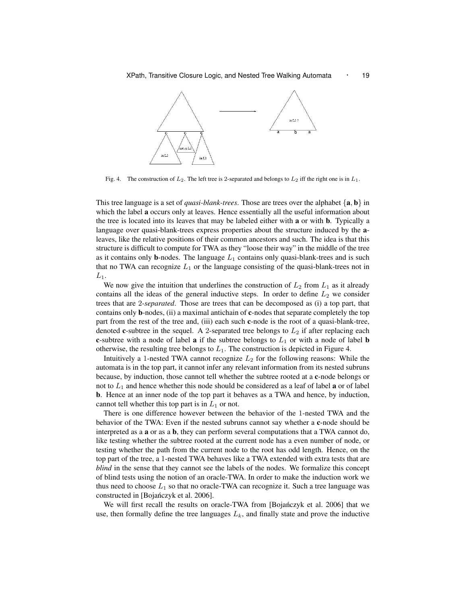

Fig. 4. The construction of  $L_2$ . The left tree is 2-separated and belongs to  $L_2$  iff the right one is in  $L_1$ .

This tree language is a set of *quasi-blank-trees*. Those are trees over the alphabet  $\{a, b\}$  in which the label a occurs only at leaves. Hence essentially all the useful information about the tree is located into its leaves that may be labeled either with a or with b. Typically a language over quasi-blank-trees express properties about the structure induced by the aleaves, like the relative positions of their common ancestors and such. The idea is that this structure is difficult to compute for TWA as they "loose their way" in the middle of the tree as it contains only **b**-nodes. The language  $L_1$  contains only quasi-blank-trees and is such that no TWA can recognize  $L_1$  or the language consisting of the quasi-blank-trees not in  $L_1$ .

We now give the intuition that underlines the construction of  $L_2$  from  $L_1$  as it already contains all the ideas of the general inductive steps. In order to define  $L_2$  we consider trees that are 2*-separated*. Those are trees that can be decomposed as (i) a top part, that contains only **b**-nodes, (ii) a maximal antichain of **c**-nodes that separate completely the top part from the rest of the tree and, (iii) each such c-node is the root of a quasi-blank-tree, denoted c-subtree in the sequel. A 2-separated tree belongs to  $L_2$  if after replacing each **c**-subtree with a node of label **a** if the subtree belongs to  $L_1$  or with a node of label **b** otherwise, the resulting tree belongs to  $L_1$ . The construction is depicted in Figure 4.

Intuitively a 1-nested TWA cannot recognize  $L_2$  for the following reasons: While the automata is in the top part, it cannot infer any relevant information from its nested subruns because, by induction, those cannot tell whether the subtree rooted at a c-node belongs or not to  $L_1$  and hence whether this node should be considered as a leaf of label **a** or of label b. Hence at an inner node of the top part it behaves as a TWA and hence, by induction, cannot tell whether this top part is in  $L_1$  or not.

There is one difference however between the behavior of the 1-nested TWA and the behavior of the TWA: Even if the nested subruns cannot say whether a c-node should be interpreted as a a or as a b, they can perform several computations that a TWA cannot do, like testing whether the subtree rooted at the current node has a even number of node, or testing whether the path from the current node to the root has odd length. Hence, on the top part of the tree, a 1-nested TWA behaves like a TWA extended with extra tests that are *blind* in the sense that they cannot see the labels of the nodes. We formalize this concept of blind tests using the notion of an oracle-TWA. In order to make the induction work we thus need to choose  $L_1$  so that no oracle-TWA can recognize it. Such a tree language was constructed in [Bojańczyk et al. 2006].

We will first recall the results on oracle-TWA from [Bojanczyk et al. 2006] that we use, then formally define the tree languages  $L<sub>k</sub>$ , and finally state and prove the inductive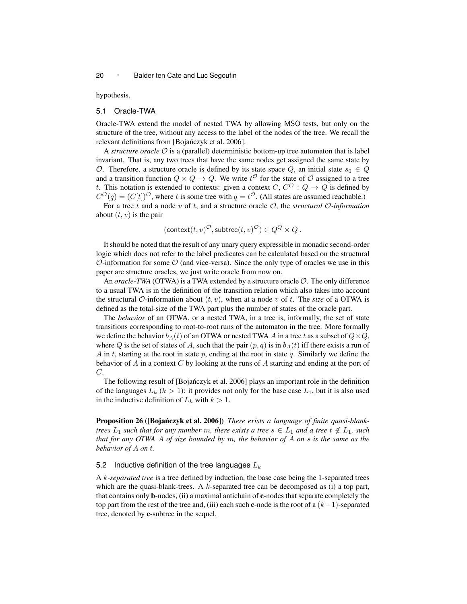hypothesis.

#### 5.1 Oracle-TWA

Oracle-TWA extend the model of nested TWA by allowing MSO tests, but only on the structure of the tree, without any access to the label of the nodes of the tree. We recall the relevant definitions from [Bojańczyk et al. 2006].

A *structure oracle*  $\mathcal O$  is a (parallel) deterministic bottom-up tree automaton that is label invariant. That is, any two trees that have the same nodes get assigned the same state by O. Therefore, a structure oracle is defined by its state space Q, an initial state  $s_0 \in Q$ and a transition function  $Q \times Q \to Q$ . We write  $t^{\mathcal{O}}$  for the state of  $\mathcal O$  assigned to a tree t. This notation is extended to contexts: given a context  $C, C^{\mathcal{O}}: Q \to Q$  is defined by  $C^{O}(q) = (C[t])^O$ , where t is some tree with  $q = t^O$ . (All states are assumed reachable.)

For a tree  $t$  and a node  $v$  of  $t$ , and a structure oracle  $\mathcal{O}$ , the *structural*  $\mathcal{O}$ *-information* about  $(t, v)$  is the pair

$$
(\text{context}(t, v)^{\mathcal{O}}, \text{subtree}(t, v)^{\mathcal{O}}) \in Q^Q \times Q
$$
.

It should be noted that the result of any unary query expressible in monadic second-order logic which does not refer to the label predicates can be calculated based on the structural  $\mathcal{O}\text{-}$ information for some  $\mathcal{O}\text{ (and vice-versa)}$ . Since the only type of oracles we use in this paper are structure oracles, we just write oracle from now on.

An *oracle-TWA* (OTWA) is a TWA extended by a structure oracle  $\mathcal{O}$ . The only difference to a usual TWA is in the definition of the transition relation which also takes into account the structural  $\mathcal{O}\text{-information about } (t, v)$ , when at a node v of t. The *size* of a OTWA is defined as the total-size of the TWA part plus the number of states of the oracle part.

The *behavior* of an OTWA, or a nested TWA, in a tree is, informally, the set of state transitions corresponding to root-to-root runs of the automaton in the tree. More formally we define the behavior  $b_A(t)$  of an OTWA or nested TWA A in a tree t as a subset of  $Q \times Q$ , where Q is the set of states of A, such that the pair  $(p, q)$  is in  $b<sub>A</sub>(t)$  iff there exists a run of A in t, starting at the root in state  $p$ , ending at the root in state  $q$ . Similarly we define the behavior of  $A$  in a context  $C$  by looking at the runs of  $A$  starting and ending at the port of  $C$ .

The following result of [Bojańczyk et al. 2006] plays an important role in the definition of the languages  $L_k$  ( $k > 1$ ): it provides not only for the base case  $L_1$ , but it is also used in the inductive definition of  $L_k$  with  $k > 1$ .

Proposition 26 ([Bojańczyk et al. 2006]) There exists a language of finite quasi-blank*trees*  $L_1$  *such that for any number*  $m$ *, there exists a tree*  $s \in L_1$  *and a tree*  $t \notin L_1$ *, such that for any OTWA A of size bounded by m, the behavior of A on s is the same as the behavior of A on t.* 

### 5.2 Inductive definition of the tree languages  $L_k$

A *k*-separated tree is a tree defined by induction, the base case being the 1-separated trees which are the quasi-blank-trees. A  $k$ -separated tree can be decomposed as (i) a top part, that contains only b-nodes, (ii) a maximal antichain of c-nodes that separate completely the top part from the rest of the tree and, (iii) each such c-node is the root of a  $(k-1)$ -separated tree, denoted by c-subtree in the sequel.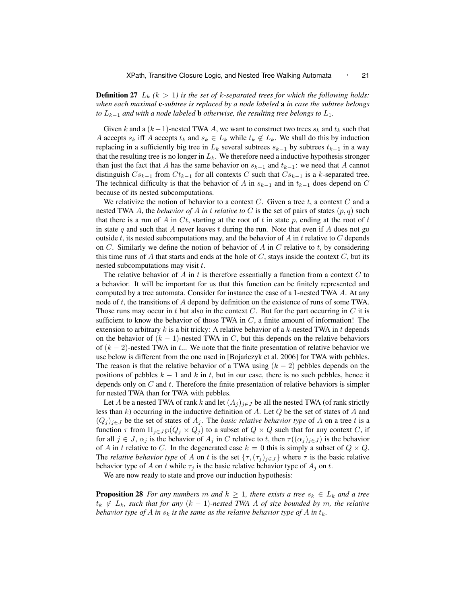**Definition 27**  $L_k$  ( $k > 1$ ) is the set of k-separated trees for which the following holds: *when each maximal* c*-subtree is replaced by a node labeled* a *in case the subtree belongs to*  $L_{k-1}$  *and with a node labeled* **b** *otherwise, the resulting tree belongs to*  $L_1$ *.* 

Given k and a  $(k-1)$ -nested TWA A, we want to construct two trees  $s_k$  and  $t_k$  such that A accepts  $s_k$  iff A accepts  $t_k$  and  $s_k \in L_k$  while  $t_k \notin L_k$ . We shall do this by induction replacing in a sufficiently big tree in  $L_k$  several subtrees  $s_{k-1}$  by subtrees  $t_{k-1}$  in a way that the resulting tree is no longer in  $L_k$ . We therefore need a inductive hypothesis stronger than just the fact that A has the same behavior on  $s_{k-1}$  and  $t_{k-1}$ : we need that A cannot distinguish  $Cs_{k-1}$  from  $C_{k-1}$  for all contexts C such that  $Cs_{k-1}$  is a k-separated tree. The technical difficulty is that the behavior of A in  $s_{k-1}$  and in  $t_{k-1}$  does depend on C because of its nested subcomputations.

We relativize the notion of behavior to a context  $C$ . Given a tree  $t$ , a context  $C$  and a nested TWA A, the *behavior of* A in t relative to C is the set of pairs of states  $(p, q)$  such that there is a run of  $A$  in  $C_t$ , starting at the root of  $t$  in state  $p$ , ending at the root of  $t$ in state q and such that A never leaves t during the run. Note that even if A does not go outside  $t$ , its nested subcomputations may, and the behavior of  $A$  in  $t$  relative to  $C$  depends on  $C$ . Similarly we define the notion of behavior of  $A$  in  $C$  relative to  $t$ , by considering this time runs of A that starts and ends at the hole of  $C$ , stays inside the context  $C$ , but its nested subcomputations may visit  $t$ .

The relative behavior of A in t is therefore essentially a function from a context  $C$  to a behavior. It will be important for us that this function can be finitely represented and computed by a tree automata. Consider for instance the case of a 1-nested TWA  $A$ . At any node of  $t$ , the transitions of  $A$  depend by definition on the existence of runs of some TWA. Those runs may occur in t but also in the context  $C$ . But for the part occurring in  $C$  it is sufficient to know the behavior of those TWA in  $C$ , a finite amount of information! The extension to arbitrary  $k$  is a bit tricky: A relative behavior of a  $k$ -nested TWA in  $t$  depends on the behavior of  $(k - 1)$ -nested TWA in C, but this depends on the relative behaviors of  $(k-2)$ -nested TWA in t... We note that the finite presentation of relative behavior we use below is different from the one used in [Bojanczyk et al. 2006] for TWA with pebbles. ´ The reason is that the relative behavior of a TWA using  $(k-2)$  pebbles depends on the positions of pebbles  $k - 1$  and k in t, but in our case, there is no such pebbles, hence it depends only on  $C$  and  $t$ . Therefore the finite presentation of relative behaviors is simpler for nested TWA than for TWA with pebbles.

Let *A* be a nested TWA of rank *k* and let  $(A_i)_{i \in J}$  be all the nested TWA (of rank strictly less than  $k$ ) occurring in the inductive definition of  $A$ . Let  $Q$  be the set of states of  $A$  and  $(Q_j)_{j \in J}$  be the set of states of  $A_j$ . The *basic relative behavior type* of A on a tree t is a function  $\tau$  from  $\Pi_{j\in J}\wp(Q_j\times Q_j)$  to a subset of  $Q\times Q$  such that for any context C, if for all  $j \in J$ ,  $\alpha_j$  is the behavior of  $A_j$  in C relative to t, then  $\tau((\alpha_j)_{j \in J})$  is the behavior of A in t relative to C. In the degenerated case  $k = 0$  this is simply a subset of  $Q \times Q$ . The *relative behavior type* of A on t is the set  $\{\tau, (\tau_i)_{i \in J}\}$  where  $\tau$  is the basic relative behavior type of A on t while  $\tau_i$  is the basic relative behavior type of  $A_i$  on t.

We are now ready to state and prove our induction hypothesis:

**Proposition 28** *For any numbers*  $m$  *and*  $k \geq 1$ *, there exists a tree*  $s_k \in L_k$  *and a tree*  $t_k \notin L_k$ , such that for any  $(k-1)$ -nested TWA A of size bounded by m, the relative *behavior type of* A in  $s_k$  *is the same as the relative behavior type of* A in  $t_k$ .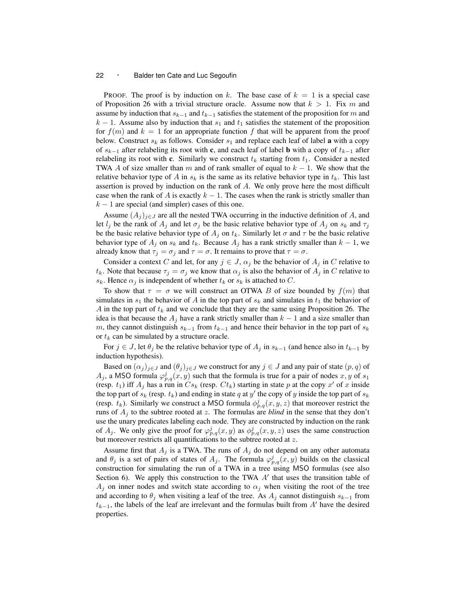PROOF. The proof is by induction on k. The base case of  $k = 1$  is a special case of Proposition 26 with a trivial structure oracle. Assume now that  $k > 1$ . Fix m and assume by induction that  $s_{k-1}$  and  $t_{k-1}$  satisfies the statement of the proposition for m and  $k-1$ . Assume also by induction that  $s_1$  and  $t_1$  satisfies the statement of the proposition for  $f(m)$  and  $k = 1$  for an appropriate function f that will be apparent from the proof below. Construct  $s_k$  as follows. Consider  $s_1$  and replace each leaf of label **a** with a copy of  $s_{k-1}$  after relabeling its root with c, and each leaf of label b with a copy of  $t_{k-1}$  after relabeling its root with c. Similarly we construct  $t_k$  starting from  $t_1$ . Consider a nested TWA A of size smaller than  $m$  and of rank smaller of equal to  $k - 1$ . We show that the relative behavior type of A in  $s_k$  is the same as its relative behavior type in  $t_k$ . This last assertion is proved by induction on the rank of  $A$ . We only prove here the most difficult case when the rank of A is exactly  $k-1$ . The cases when the rank is strictly smaller than  $k - 1$  are special (and simpler) cases of this one.

Assume  $(A_i)_{i\in J}$  are all the nested TWA occurring in the inductive definition of A, and let  $l_j$  be the rank of  $A_j$  and let  $\sigma_j$  be the basic relative behavior type of  $A_j$  on  $s_k$  and  $\tau_j$ be the basic relative behavior type of  $A_j$  on  $t_k$ . Similarly let  $\sigma$  and  $\tau$  be the basic relative behavior type of  $A_j$  on  $s_k$  and  $t_k$ . Because  $A_j$  has a rank strictly smaller than  $k-1$ , we already know that  $\tau_j = \sigma_j$  and  $\tau = \sigma$ . It remains to prove that  $\tau = \sigma$ .

Consider a context C and let, for any  $j \in J$ ,  $\alpha_j$  be the behavior of  $A_j$  in C relative to  $t_k$ . Note that because  $\tau_j = \sigma_j$  we know that  $\alpha_j$  is also the behavior of  $A_j$  in C relative to  $s_k$ . Hence  $\alpha_j$  is independent of whether  $t_k$  or  $s_k$  is attached to  $C$ .

To show that  $\tau = \sigma$  we will construct an OTWA B of size bounded by  $f(m)$  that simulates in  $s_1$  the behavior of A in the top part of  $s_k$  and simulates in  $t_1$  the behavior of A in the top part of  $t_k$  and we conclude that they are the same using Proposition 26. The idea is that because the  $A_j$  have a rank strictly smaller than  $k-1$  and a size smaller than m, they cannot distinguish  $s_{k-1}$  from  $t_{k-1}$  and hence their behavior in the top part of  $s_k$ or  $t_k$  can be simulated by a structure oracle.

For  $j \in J$ , let  $\theta_j$  be the relative behavior type of  $A_j$  in  $s_{k-1}$  (and hence also in  $t_{k-1}$  by induction hypothesis).

Based on  $(\alpha_j)_{j\in J}$  and  $(\theta_j)_{j\in J}$  we construct for any  $j\in J$  and any pair of state  $(p,q)$  of  $A_j$ , a MSO formula  $\varphi_{p,q}^j(x, y)$  such that the formula is true for a pair of nodes  $x, y$  of  $s_1$ (resp.  $t_1$ ) iff  $A_j$  has a run in  $Cs_k$  (resp.  $Ct_k$ ) starting in state p at the copy  $x'$  of x inside the top part of  $s_k$  (resp.  $t_k$ ) and ending in state  $q$  at  $y'$  the copy of  $y$  inside the top part of  $s_k$ (resp.  $t_k$ ). Similarly we construct a MSO formula  $\phi_{p,q}^j(x, y, z)$  that moreover restrict the runs of  $A_j$  to the subtree rooted at z. The formulas are *blind* in the sense that they don't use the unary predicates labeling each node. They are constructed by induction on the rank of  $A_j$ . We only give the proof for  $\varphi_{p,q}^j(x,y)$  as  $\varphi_{p,q}^j(x,y,z)$  uses the same construction but moreover restricts all quantifications to the subtree rooted at  $z$ .

Assume first that  $A_j$  is a TWA. The runs of  $A_j$  do not depend on any other automata and  $\theta_j$  is a set of pairs of states of  $A_j$ . The formula  $\varphi_{p,q}^j(x,y)$  builds on the classical construction for simulating the run of a TWA in a tree using MSO formulas (see also Section 6). We apply this construction to the TWA  $A'$  that uses the transition table of  $A_j$  on inner nodes and switch state according to  $\alpha_j$  when visiting the root of the tree and according to  $\theta_i$  when visiting a leaf of the tree. As  $A_i$  cannot distinguish  $s_{k-1}$  from  $t_{k-1}$ , the labels of the leaf are irrelevant and the formulas built from A' have the desired properties.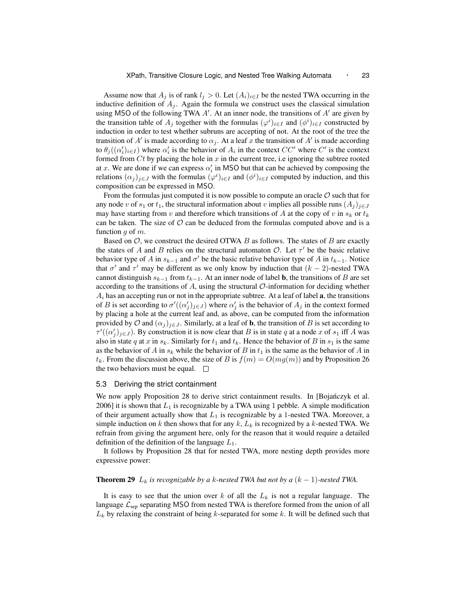Assume now that  $A_j$  is of rank  $l_j > 0$ . Let  $(A_i)_{i \in I}$  be the nested TWA occurring in the inductive definition of  $A_j$ . Again the formula we construct uses the classical simulation using MSO of the following TWA  $A'$ . At an inner node, the transitions of  $A'$  are given by the transition table of  $A_j$  together with the formulas  $(\varphi^i)_{i \in I}$  and  $(\varphi^i)_{i \in I}$  constructed by induction in order to test whether subruns are accepting of not. At the root of the tree the transition of  $A'$  is made according to  $\alpha_j$ . At a leaf x the transition of  $A'$  is made according to  $\theta_j((\alpha'_i)_{i\in I})$  where  $\alpha'_i$  is the behavior of  $A_i$  in the context  $CC'$  where  $C'$  is the context formed from  $Ct$  by placing the hole in  $x$  in the current tree, i.e ignoring the subtree rooted at x. We are done if we can express  $\alpha'_{i}$  in MSO but that can be achieved by composing the relations  $(\alpha_j)_{j \in J}$  with the formulas  $(\varphi^i)_{i \in I}$  and  $(\varphi^i)_{i \in I}$  computed by induction, and this composition can be expressed in MSO.

From the formulas just computed it is now possible to compute an oracle  $\mathcal O$  such that for any node v of  $s_1$  or  $t_1$ , the structural information about v implies all possible runs  $(A_i)_{i \in J}$ may have starting from  $v$  and therefore which transitions of  $A$  at the copy of  $v$  in  $s_k$  or  $t_k$ can be taken. The size of  $\mathcal O$  can be deduced from the formulas computed above and is a function  $q$  of  $m$ .

Based on  $\mathcal{O}$ , we construct the desired OTWA  $B$  as follows. The states of  $B$  are exactly the states of A and B relies on the structural automaton  $\mathcal{O}$ . Let  $\tau'$  be the basic relative behavior type of A in  $s_{k-1}$  and  $\sigma'$  be the basic relative behavior type of A in  $t_{k-1}$ . Notice that  $\sigma'$  and  $\tau'$  may be different as we only know by induction that  $(k-2)$ -nested TWA cannot distinguish  $s_{k-1}$  from  $t_{k-1}$ . At an inner node of label **b**, the transitions of B are set according to the transitions of  $A$ , using the structural  $O$ -information for deciding whether  $A_i$  has an accepting run or not in the appropriate subtree. At a leaf of label **a**, the transitions of B is set according to  $\sigma'((\alpha'_j)_{j\in J})$  where  $\alpha'_j$  is the behavior of  $A_j$  in the context formed by placing a hole at the current leaf and, as above, can be computed from the information provided by  $\mathcal O$  and  $(\alpha_j)_{j\in J}$ . Similarly, at a leaf of **b**, the transition of B is set according to  $\tau'((\alpha'_j)_{j\in J})$ . By construction it is now clear that B is in state q at a node x of  $s_1$  iff A was also in state q at x in  $s_k$ . Similarly for  $t_1$  and  $t_k$ . Hence the behavior of B in  $s_1$  is the same as the behavior of A in  $s_k$  while the behavior of B in  $t_1$  is the same as the behavior of A in  $t_k$ . From the discussion above, the size of B is  $f(m) = O(mg(m))$  and by Proposition 26 the two behaviors must be equal.  $\square$ 

#### 5.3 Deriving the strict containment

We now apply Proposition 28 to derive strict containment results. In [Bojanczyk et al. 2006] it is shown that  $L_1$  is recognizable by a TWA using 1 pebble. A simple modification of their argument actually show that  $L_1$  is recognizable by a 1-nested TWA. Moreover, a simple induction on  $k$  then shows that for any  $k$ ,  $L_k$  is recognized by a  $k$ -nested TWA. We refrain from giving the argument here, only for the reason that it would require a detailed definition of the definition of the language  $L_1$ .

It follows by Proposition 28 that for nested TWA, more nesting depth provides more expressive power:

### **Theorem 29**  $L_k$  *is recognizable by a k-nested TWA but not by a*  $(k-1)$ *-nested TWA.*

It is easy to see that the union over  $k$  of all the  $L_k$  is not a regular language. The language  $\mathcal{L}_{\text{sep}}$  separating MSO from nested TWA is therefore formed from the union of all  $L_k$  by relaxing the constraint of being k-separated for some k. It will be defined such that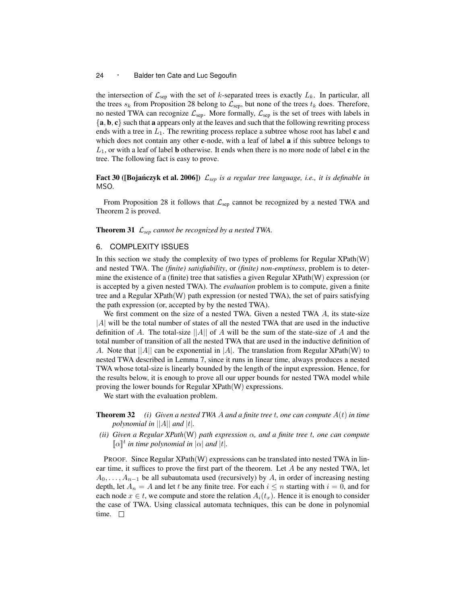the intersection of  $\mathcal{L}_{\text{sep}}$  with the set of k-separated trees is exactly  $L_k$ . In particular, all the trees  $s_k$  from Proposition 28 belong to  $\mathcal{L}_{sep}$ , but none of the trees  $t_k$  does. Therefore, no nested TWA can recognize  $\mathcal{L}_{sep}$ . More formally,  $\mathcal{L}_{sep}$  is the set of trees with labels in  $\{a, b, c\}$  such that **a** appears only at the leaves and such that the following rewriting process ends with a tree in  $L_1$ . The rewriting process replace a subtree whose root has label c and which does not contain any other **c**-node, with a leaf of label **a** if this subtree belongs to  $L_1$ , or with a leaf of label **b** otherwise. It ends when there is no more node of label  $c$  in the tree. The following fact is easy to prove.

# Fact 30 ([Bojańczyk et al. 2006])  $\mathcal{L}_{sep}$  *is a regular tree language, i.e., it is definable in* MSO*.*

From Proposition 28 it follows that  $\mathcal{L}_{sep}$  cannot be recognized by a nested TWA and Theorem 2 is proved.

Theorem 31 ℒ*sep cannot be recognized by a nested TWA.*

# 6. COMPLEXITY ISSUES

In this section we study the complexity of two types of problems for Regular  $XPath(W)$ and nested TWA. The *(finite) satisfiability*, or *(finite) non-emptiness*, problem is to determine the existence of a (finite) tree that satisfies a given Regular XPath(W) expression (or is accepted by a given nested TWA). The *evaluation* problem is to compute, given a finite tree and a Regular  $XPath(W)$  path expression (or nested TWA), the set of pairs satisfying the path expression (or, accepted by by the nested TWA).

We first comment on the size of a nested TWA. Given a nested TWA  $\ddot{A}$ , its state-size  $|A|$  will be the total number of states of all the nested TWA that are used in the inductive definition of A. The total-size  $||A||$  of A will be the sum of the state-size of A and the total number of transition of all the nested TWA that are used in the inductive definition of A. Note that ||A|| can be exponential in |A|. The translation from Regular XPath(W) to nested TWA described in Lemma 7, since it runs in linear time, always produces a nested TWA whose total-size is linearly bounded by the length of the input expression. Hence, for the results below, it is enough to prove all our upper bounds for nested TWA model while proving the lower bounds for Regular XPath(W) expressions.

We start with the evaluation problem.

# **Theorem 32** *(i) Given a nested TWA A and a finite tree t, one can compute*  $A(t)$  *in time polynomial in*  $||A||$  *and*  $|t|$ *.*

*(ii) Given a Regular XPath* $(W)$  *path expression*  $\alpha$ *, and a finite tree t, one can compute*  $[\![\alpha]\!]^t$  *in time polynomial in*  $|\alpha|$  *and*  $|t|$ *.* 

PROOF. Since Regular XPath(W) expressions can be translated into nested TWA in linear time, it suffices to prove the first part of the theorem. Let  $A$  be any nested TWA, let  $A_0, \ldots, A_{n-1}$  be all subautomata used (recursively) by A, in order of increasing nesting depth, let  $A_n = A$  and let t be any finite tree. For each  $i \leq n$  starting with  $i = 0$ , and for each node  $x \in t$ , we compute and store the relation  $A_i(t_x)$ . Hence it is enough to consider the case of TWA. Using classical automata techniques, this can be done in polynomial time.  $\square$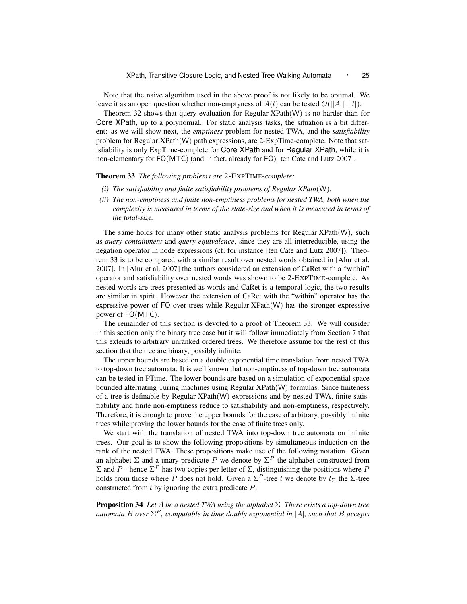Note that the naive algorithm used in the above proof is not likely to be optimal. We leave it as an open question whether non-emptyness of  $A(t)$  can be tested  $O(||A|| \cdot |t|)$ .

Theorem 32 shows that query evaluation for Regular  $XPath(W)$  is no harder than for Core XPath, up to a polynomial. For static analysis tasks, the situation is a bit different: as we will show next, the *emptiness* problem for nested TWA, and the *satisfiability* problem for Regular XPath(W) path expressions, are 2-ExpTime-complete. Note that satisfiability is only ExpTime-complete for Core XPath and for Regular XPath, while it is non-elementary for FO(MTC) (and in fact, already for FO) [ten Cate and Lutz 2007].

### Theorem 33 *The following problems are* 2-EXPTIME*-complete:*

- *(i) The satisfiability and finite satisfiability problems of Regular XPath*(W)*.*
- *(ii) The non-emptiness and finite non-emptiness problems for nested TWA, both when the complexity is measured in terms of the state-size and when it is measured in terms of the total-size.*

The same holds for many other static analysis problems for Regular  $XPath(W)$ , such as *query containment* and *query equivalence*, since they are all interreducible, using the negation operator in node expressions (cf. for instance [ten Cate and Lutz 2007]). Theorem 33 is to be compared with a similar result over nested words obtained in [Alur et al. 2007]. In [Alur et al. 2007] the authors considered an extension of CaRet with a "within" operator and satisfiability over nested words was shown to be 2-EXPTIME-complete. As nested words are trees presented as words and CaRet is a temporal logic, the two results are similar in spirit. However the extension of CaRet with the "within" operator has the expressive power of FO over trees while Regular XPath(W) has the stronger expressive power of FO(MTC).

The remainder of this section is devoted to a proof of Theorem 33. We will consider in this section only the binary tree case but it will follow immediately from Section 7 that this extends to arbitrary unranked ordered trees. We therefore assume for the rest of this section that the tree are binary, possibly infinite.

The upper bounds are based on a double exponential time translation from nested TWA to top-down tree automata. It is well known that non-emptiness of top-down tree automata can be tested in PTime. The lower bounds are based on a simulation of exponential space bounded alternating Turing machines using Regular XPath(W) formulas. Since finiteness of a tree is definable by Regular  $XPath(W)$  expressions and by nested TWA, finite satisfiability and finite non-emptiness reduce to satisfiability and non-emptiness, respectively. Therefore, it is enough to prove the upper bounds for the case of arbitrary, possibly infinite trees while proving the lower bounds for the case of finite trees only.

We start with the translation of nested TWA into top-down tree automata on infinite trees. Our goal is to show the following propositions by simultaneous induction on the rank of the nested TWA. These propositions make use of the following notation. Given an alphabet  $\Sigma$  and a unary predicate P we denote by  $\Sigma^P$  the alphabet constructed from  $\Sigma$  and P - hence  $\Sigma^P$  has two copies per letter of  $\Sigma$ , distinguishing the positions where P holds from those where P does not hold. Given a  $\Sigma^P$ -tree t we denote by  $t_{\Sigma}$  the  $\Sigma$ -tree constructed from  $t$  by ignoring the extra predicate  $P$ .

Proposition 34 *Let* 𝐴 *be a nested TWA using the alphabet* Σ*. There exists a top-down tree automata* 𝐵 *over* Σ <sup>𝑃</sup> *, computable in time doubly exponential in* ∣𝐴∣*, such that* 𝐵 *accepts*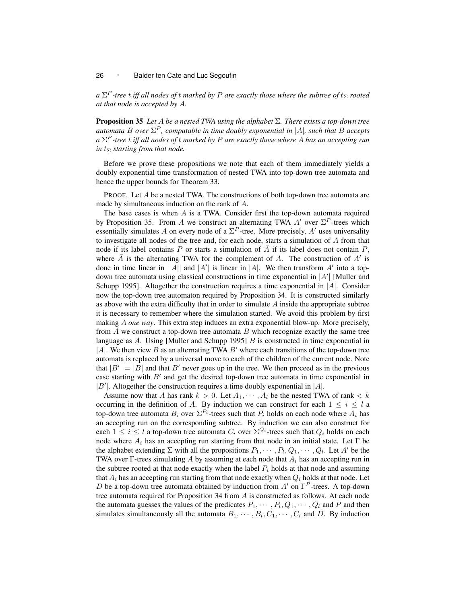*a* Σ <sup>𝑃</sup> *-tree* 𝑡 *iff all nodes of* 𝑡 *marked by* 𝑃 *are exactly those where the subtree of* 𝑡<sup>Σ</sup> *rooted at that node is accepted by A.* 

Proposition 35 *Let* 𝐴 *be a nested TWA using the alphabet* Σ*. There exists a top-down tree automata* 𝐵 *over* Σ <sup>𝑃</sup> *, computable in time doubly exponential in* ∣𝐴∣*, such that* 𝐵 *accepts a* Σ <sup>𝑃</sup> *-tree* 𝑡 *iff all nodes of* 𝑡 *marked by* 𝑃 *are exactly those where* 𝐴 *has an accepting run in*  $t_{\Sigma}$  *starting from that node.* 

Before we prove these propositions we note that each of them immediately yields a doubly exponential time transformation of nested TWA into top-down tree automata and hence the upper bounds for Theorem 33.

PROOF. Let  $A$  be a nested TWA. The constructions of both top-down tree automata are made by simultaneous induction on the rank of  $A$ .

The base cases is when  $A$  is a TWA. Consider first the top-down automata required by Proposition 35. From A we construct an alternating TWA  $A'$  over  $\Sigma^P$ -trees which essentially simulates A on every node of a  $\Sigma^P$ -tree. More precisely, A' uses universality to investigate all nodes of the tree and, for each node, starts a simulation of  $A$  from that node if its label contains P or starts a simulation of  $\overline{A}$  if its label does not contain P, where  $\overline{A}$  is the alternating TWA for the complement of A. The construction of A' is done in time linear in ||A|| and |A'| is linear in |A|. We then transform A' into a topdown tree automata using classical constructions in time exponential in  $|A'|$  [Muller and Schupp 1995]. Altogether the construction requires a time exponential in  $|A|$ . Consider now the top-down tree automaton required by Proposition 34. It is constructed similarly as above with the extra difficulty that in order to simulate  $A$  inside the appropriate subtree it is necessary to remember where the simulation started. We avoid this problem by first making *A one way*. This extra step induces an extra exponential blow-up. More precisely, from  $\Lambda$  we construct a top-down tree automata  $\sigma$  which recognize exactly the same tree language as A. Using [Muller and Schupp 1995]  $B$  is constructed in time exponential in | $\vec{A}$ |. We then view  $\vec{B}$  as an alternating TWA  $\vec{B}'$  where each transitions of the top-down tree automata is replaced by a universal move to each of the children of the current node. Note that  $|B'| = |B|$  and that  $B'$  never goes up in the tree. We then proceed as in the previous case starting with  $B'$  and get the desired top-down tree automata in time exponential in  $|B'|$ . Altogether the construction requires a time doubly exponential in |A|.

Assume now that A has rank  $k > 0$ . Let  $A_1, \dots, A_l$  be the nested TWA of rank  $\lt k$ occurring in the definition of A. By induction we can construct for each  $1 \leq i \leq l$  a top-down tree automata  $B_i$  over  $\Sigma^{P_i}$ -trees such that  $P_i$  holds on each node where  $A_i$  has an accepting run on the corresponding subtree. By induction we can also construct for each  $1 \leq i \leq l$  a top-down tree automata  $C_i$  over  $\Sigma^{Q_i}$ -trees such that  $Q_i$  holds on each node where  $A_i$  has an accepting run starting from that node in an initial state. Let  $\Gamma$  be the alphabet extending  $\Sigma$  with all the propositions  $P_1, \dots, P_l, Q_1, \dots, Q_l$ . Let A' be the TWA over Γ-trees simulating A by assuming at each node that  $A_i$  has an accepting run in the subtree rooted at that node exactly when the label  $P_i$  holds at that node and assuming that  $A_i$  has an accepting run starting from that node exactly when  $Q_i$  holds at that node. Let D be a top-down tree automata obtained by induction from  $A'$  on  $\Gamma^P$ -trees. A top-down tree automata required for Proposition 34 from  $A$  is constructed as follows. At each node the automata guesses the values of the predicates  $P_1, \dots, P_l, Q_1, \dots, Q_l$  and P and then simulates simultaneously all the automata  $B_1, \dots, B_l, C_1, \dots, C_l$  and D. By induction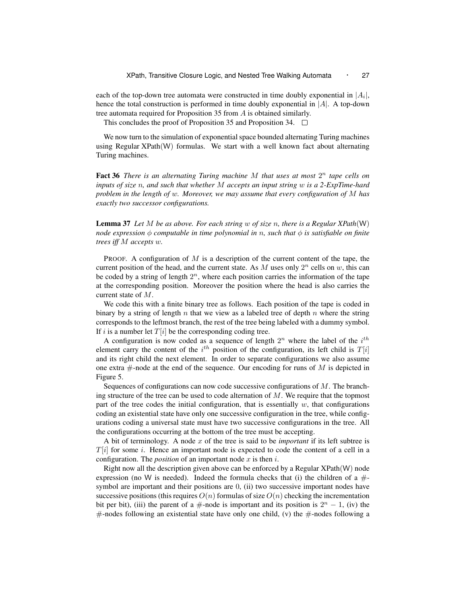each of the top-down tree automata were constructed in time doubly exponential in  $|A_i|$ , hence the total construction is performed in time doubly exponential in  $|A|$ . A top-down tree automata required for Proposition 35 from  $A$  is obtained similarly.

This concludes the proof of Proposition 35 and Proposition 34.  $\Box$ 

We now turn to the simulation of exponential space bounded alternating Turing machines using Regular XPath(W) formulas. We start with a well known fact about alternating Turing machines.

Fact 36 There is an alternating Turing machine M that uses at most  $2^n$  tape cells on *inputs of size n, and such that whether M* accepts an input string w is a 2-ExpTime-hard *problem in the length of w. Moreover, we may assume that every configuration of* M has *exactly two successor configurations.*

**Lemma 37** Let M be as above. For each string w of size n, there is a Regular XPath(W) *node expression*  $\phi$  *computable in time polynomial in n*, such that  $\phi$  *is satisfiable on finite trees iff*  $M$  *accepts*  $w$ *.* 

PROOF. A configuration of  $M$  is a description of the current content of the tape, the current position of the head, and the current state. As  $M$  uses only  $2^n$  cells on  $w$ , this can be coded by a string of length  $2^n$ , where each position carries the information of the tape at the corresponding position. Moreover the position where the head is also carries the current state of  $M$ .

We code this with a finite binary tree as follows. Each position of the tape is coded in binary by a string of length  $n$  that we view as a labeled tree of depth  $n$  where the string corresponds to the leftmost branch, the rest of the tree being labeled with a dummy symbol. If  $i$  is a number let  $T[i]$  be the corresponding coding tree.

A configuration is now coded as a sequence of length  $2^n$  where the label of the  $i^{th}$ element carry the content of the  $i^{th}$  position of the configuration, its left child is  $T[i]$ and its right child the next element. In order to separate configurations we also assume one extra  $#$ -node at the end of the sequence. Our encoding for runs of M is depicted in Figure 5.

Sequences of configurations can now code successive configurations of  $M$ . The branching structure of the tree can be used to code alternation of  $M$ . We require that the topmost part of the tree codes the initial configuration, that is essentially  $w$ , that configurations coding an existential state have only one successive configuration in the tree, while configurations coding a universal state must have two successive configurations in the tree. All the configurations occurring at the bottom of the tree must be accepting.

A bit of terminology. A node  $x$  of the tree is said to be *important* if its left subtree is  $T[i]$  for some *i*. Hence an important node is expected to code the content of a cell in a configuration. The *position* of an important node  $x$  is then  $i$ .

Right now all the description given above can be enforced by a Regular XPath(W) node expression (no W is needed). Indeed the formula checks that (i) the children of a  $#$ symbol are important and their positions are 0, (ii) two successive important nodes have successive positions (this requires  $O(n)$  formulas of size  $O(n)$  checking the incrementation bit per bit), (iii) the parent of a  $#$ -node is important and its position is  $2^n - 1$ , (iv) the  $\#$ -nodes following an existential state have only one child, (v) the  $\#$ -nodes following a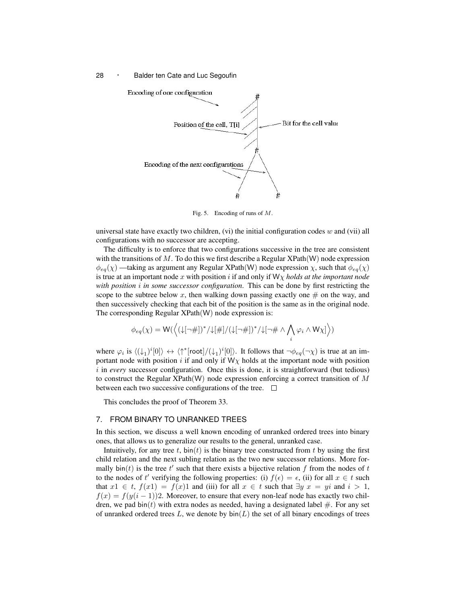

Fig. 5. Encoding of runs of  $M$ .

universal state have exactly two children, (vi) the initial configuration codes  $w$  and (vii) all configurations with no successor are accepting.

The difficulty is to enforce that two configurations successive in the tree are consistent with the transitions of  $M$ . To do this we first describe a Regular XPath $(W)$  node expression  $\phi_{eq}(\chi)$  —taking as argument any Regular XPath(W) node expression  $\chi$ , such that  $\phi_{eq}(\chi)$ is true at an important node  $x$  with position  $i$  if and only if  $W\chi$  *holds at the important node with position i in some successor configuration*. This can be done by first restricting the scope to the subtree below x, then walking down passing exactly one  $\#$  on the way, and then successively checking that each bit of the position is the same as in the original node. The corresponding Regular XPath(W) node expression is:

$$
\phi_{eq}(\chi) = \mathsf{W}(\left\langle (\downarrow [\neg\#])^* / \downarrow [\#] / (\downarrow [\neg\#])^* / \downarrow [\neg\# \land \bigwedge_i \varphi_i \land \mathsf{W}\chi] \right\rangle)
$$

where  $\varphi_i$  is  $\langle (\downarrow_1)^i[0] \rangle \leftrightarrow \langle \uparrow^*[\text{root}]/(\downarrow_1)^i[0] \rangle$ . It follows that  $\neg \phi_{eq}(\neg \chi)$  is true at an important node with position i if and only if  $W\chi$  holds at the important node with position *i* in *every* successor configuration. Once this is done, it is straightforward (but tedious) to construct the Regular XPath $(W)$  node expression enforcing a correct transition of M between each two successive configurations of the tree.  $\Box$ 

This concludes the proof of Theorem 33.

# 7. FROM BINARY TO UNRANKED TREES

In this section, we discuss a well known encoding of unranked ordered trees into binary ones, that allows us to generalize our results to the general, unranked case.

Intuitively, for any tree  $t$ , bin( $t$ ) is the binary tree constructed from  $t$  by using the first child relation and the next subling relation as the two new successor relations. More formally bin(t) is the tree  $t'$  such that there exists a bijective relation f from the nodes of t to the nodes of t' verifying the following properties: (i)  $f(\epsilon) = \epsilon$ , (ii) for all  $x \in t$  such that  $x1 \in t$ ,  $f(x1) = f(x)1$  and (iii) for all  $x \in t$  such that  $\exists y \ x = yi$  and  $i > 1$ ,  $f(x) = f(y(i-1))$ 2. Moreover, to ensure that every non-leaf node has exactly two children, we pad bin( $t$ ) with extra nodes as needed, having a designated label  $\#$ . For any set of unranked ordered trees  $L$ , we denote by  $\text{bin}(L)$  the set of all binary encodings of trees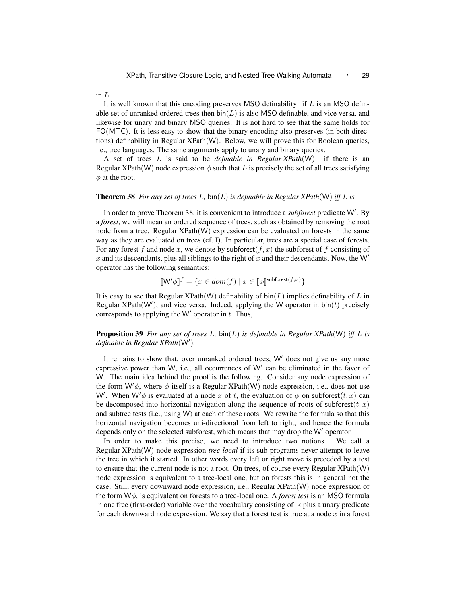in  $L$ .

It is well known that this encoding preserves MSO definability: if  $L$  is an MSO definable set of unranked ordered trees then  $\text{bin}(L)$  is also MSO definable, and vice versa, and likewise for unary and binary MSO queries. It is not hard to see that the same holds for FO(MTC). It is less easy to show that the binary encoding also preserves (in both directions) definability in Regular XPath(W). Below, we will prove this for Boolean queries, i.e., tree languages. The same arguments apply to unary and binary queries.

A set of trees L is said to be *definable in Regular XPath*(W) if there is an Regular XPath(W) node expression  $\phi$  such that L is precisely the set of all trees satisfying  $\phi$  at the root.

### **Theorem 38** *For any set of trees*  $L$ *,* bin( $L$ ) *is definable in Regular XPath*( $W$ ) *iff*  $L$  *is.*

In order to prove Theorem 38, it is convenient to introduce a *subforest* predicate W′ . By a *forest*, we will mean an ordered sequence of trees, such as obtained by removing the root node from a tree. Regular XPath(W) expression can be evaluated on forests in the same way as they are evaluated on trees (cf. I). In particular, trees are a special case of forests. For any forest f and node x, we denote by subforest( $f, x$ ) the subforest of f consisting of  $x$  and its descendants, plus all siblings to the right of  $x$  and their descendants. Now, the W' operator has the following semantics:

$$
[\![\mathsf{W}'\phi]\!]^f = \{x \in dom(f) \mid x \in [\![\phi]\!]^{\text{subforest}(f,x)}\}
$$

It is easy to see that Regular XPath(W) definability of bin( $L$ ) implies definability of  $L$  in Regular XPath(W'), and vice versa. Indeed, applying the W operator in  $\text{bin}(t)$  precisely corresponds to applying the  $W'$  operator in  $t$ . Thus,

**Proposition 39** For any set of trees  $L$ ,  $\text{bin}(L)$  is definable in Regular XPath(W) iff  $L$  is *definable in Regular XPath*(W′ )*.*

It remains to show that, over unranked ordered trees, W′ does not give us any more expressive power than W, i.e., all occurrences of W' can be eliminated in the favor of W. The main idea behind the proof is the following. Consider any node expression of the form  $W'\phi$ , where  $\phi$  itself is a Regular XPath(W) node expression, i.e., does not use W'. When  $W' \phi$  is evaluated at a node x of t, the evaluation of  $\phi$  on subforest $(t, x)$  can be decomposed into horizontal navigation along the sequence of roots of subforest $(t, x)$ and subtree tests (i.e., using W) at each of these roots. We rewrite the formula so that this horizontal navigation becomes uni-directional from left to right, and hence the formula depends only on the selected subforest, which means that may drop the W′ operator.

In order to make this precise, we need to introduce two notions. We call a Regular XPath(W) node expression *tree-local* if its sub-programs never attempt to leave the tree in which it started. In other words every left or right move is preceded by a test to ensure that the current node is not a root. On trees, of course every Regular  $XPath(W)$ node expression is equivalent to a tree-local one, but on forests this is in general not the case. Still, every downward node expression, i.e., Regular XPath(W) node expression of the form W𝜙, is equivalent on forests to a tree-local one. A *forest test* is an MSO formula in one free (first-order) variable over the vocabulary consisting of  $\prec$  plus a unary predicate for each downward node expression. We say that a forest test is true at a node  $x$  in a forest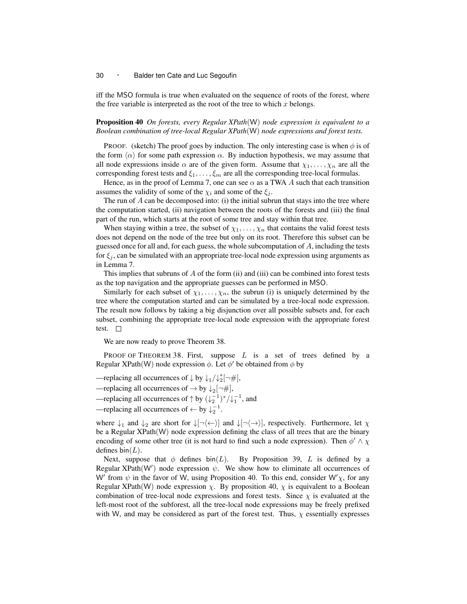iff the MSO formula is true when evaluated on the sequence of roots of the forest, where the free variable is interpreted as the root of the tree to which  $x$  belongs.

Proposition 40 *On forests, every Regular XPath*(W) *node expression is equivalent to a Boolean combination of tree-local Regular XPath*(W) *node expressions and forest tests.*

PROOF. (sketch) The proof goes by induction. The only interesting case is when  $\phi$  is of the form  $\langle \alpha \rangle$  for some path expression  $\alpha$ . By induction hypothesis, we may assume that all node expressions inside  $\alpha$  are of the given form. Assume that  $\chi_1, \ldots, \chi_n$  are all the corresponding forest tests and  $\xi_1, \ldots, \xi_m$  are all the corresponding tree-local formulas.

Hence, as in the proof of Lemma 7, one can see  $\alpha$  as a TWA A such that each transition assumes the validity of some of the  $\chi_i$  and some of the  $\xi_i$ .

The run of  $A$  can be decomposed into: (i) the initial subrun that stays into the tree where the computation started, (ii) navigation between the roots of the forests and (iii) the final part of the run, which starts at the root of some tree and stay within that tree.

When staying within a tree, the subset of  $\chi_1, \ldots, \chi_n$  that contains the valid forest tests does not depend on the node of the tree but only on its root. Therefore this subset can be guessed once for all and, for each guess, the whole subcomputation of  $A$ , including the tests for  $\xi_j$ , can be simulated with an appropriate tree-local node expression using arguments as in Lemma 7.

This implies that subruns of  $\vec{A}$  of the form (ii) and (iii) can be combined into forest tests as the top navigation and the appropriate guesses can be performed in MSO.

Similarly for each subset of  $\chi_1, \ldots, \chi_n$ , the subrun (i) is uniquely determined by the tree where the computation started and can be simulated by a tree-local node expression. The result now follows by taking a big disjunction over all possible subsets and, for each subset, combining the appropriate tree-local node expression with the appropriate forest test.  $\square$ 

We are now ready to prove Theorem 38.

PROOF OF THEOREM 38. First, suppose  $L$  is a set of trees defined by a Regular XPath(W) node expression  $\phi$ . Let  $\phi'$  be obtained from  $\phi$  by

—replacing all occurrences of  $\downarrow$  by  $\downarrow_1/\downarrow_2^*[\neg \#]$ ,

—replacing all occurrences of  $\rightarrow$  by  $\downarrow_2[\neg\#]$ ,

—replacing all occurrences of  $\uparrow$  by  $(\downarrow_2^{-1})^*/\downarrow_1^{-1}$ , and

—replacing all occurrences of  $\leftarrow$  by  $\downarrow_2^{-1}$ .

where  $\downarrow_1$  and  $\downarrow_2$  are short for  $\downarrow[\neg\langle\leftarrow\rangle]$  and  $\downarrow[\neg\langle\rightarrow\rangle]$ , respectively. Furthermore, let  $\chi$ be a Regular XPath(W) node expression defining the class of all trees that are the binary encoding of some other tree (it is not hard to find such a node expression). Then  $\phi' \wedge \chi$ defines  $\text{bin}(L)$ .

Next, suppose that  $\phi$  defines bin(*L*). By Proposition 39, *L* is defined by a Regular XPath(W') node expression  $\psi$ . We show how to eliminate all occurrences of W' from  $\psi$  in the favor of W, using Proposition 40. To this end, consider W' $\chi$ , for any Regular XPath(W) node expression  $\chi$ . By proposition 40,  $\chi$  is equivalent to a Boolean combination of tree-local node expressions and forest tests. Since  $\chi$  is evaluated at the left-most root of the subforest, all the tree-local node expressions may be freely prefixed with W, and may be considered as part of the forest test. Thus,  $\chi$  essentially expresses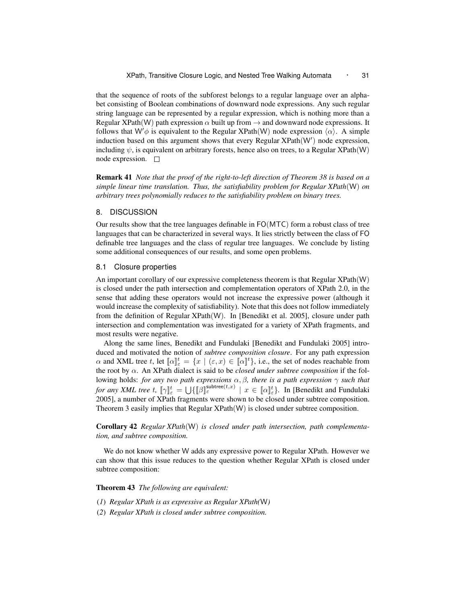that the sequence of roots of the subforest belongs to a regular language over an alphabet consisting of Boolean combinations of downward node expressions. Any such regular string language can be represented by a regular expression, which is nothing more than a Regular XPath(W) path expression  $\alpha$  built up from  $\rightarrow$  and downward node expressions. It follows that W' $\phi$  is equivalent to the Regular XPath(W) node expression  $\langle \alpha \rangle$ . A simple induction based on this argument shows that every Regular XPath(W′ ) node expression, including  $\psi$ , is equivalent on arbitrary forests, hence also on trees, to a Regular XPath(W) node expression. □

Remark 41 *Note that the proof of the right-to-left direction of Theorem 38 is based on a simple linear time translation. Thus, the satisfiability problem for Regular XPath*(W) *on arbitrary trees polynomially reduces to the satisfiability problem on binary trees.*

### 8. DISCUSSION

Our results show that the tree languages definable in FO(MTC) form a robust class of tree languages that can be characterized in several ways. It lies strictly between the class of FO definable tree languages and the class of regular tree languages. We conclude by listing some additional consequences of our results, and some open problems.

### 8.1 Closure properties

An important corollary of our expressive completeness theorem is that Regular XPath(W) is closed under the path intersection and complementation operators of XPath 2.0, in the sense that adding these operators would not increase the expressive power (although it would increase the complexity of satisfiability). Note that this does not follow immediately from the definition of Regular XPath(W). In [Benedikt et al. 2005], closure under path intersection and complementation was investigated for a variety of XPath fragments, and most results were negative.

Along the same lines, Benedikt and Fundulaki [Benedikt and Fundulaki 2005] introduced and motivated the notion of *subtree composition closure*. For any path expression  $\alpha$  and XML tree t, let  $[\![\alpha]\!]_{{\varepsilon}}^t = \{x \mid (\varepsilon, x) \in [\![\alpha]\!]^t\}$ , i.e., the set of nodes reachable from the root by  $\alpha$ . An XPath dialect is said to be *closed under subtree composition* if the following holds: *for any two path expressions*  $\alpha$ ,  $\beta$ , *there is a path expression*  $\gamma$  *such that for any XML tree t,*  $[\![\gamma]\!]_{\varepsilon}^{t} = \bigcup \{[\![\beta]\!]_{\varepsilon}^{\text{subtree}(t,x)} \mid x \in [\![\alpha]\!]_{\varepsilon}^{t}\}$ . In [Benedikt and Fundulaki 2005], a number of XPath fragments were shown to be closed under subtree composition. Theorem 3 easily implies that Regular XPath(W) is closed under subtree composition.

# Corollary 42 *Regular XPath*(W) *is closed under path intersection, path complementation, and subtree composition.*

We do not know whether W adds any expressive power to Regular XPath. However we can show that this issue reduces to the question whether Regular XPath is closed under subtree composition:

### Theorem 43 *The following are equivalent:*

- (*1*) *Regular XPath is as expressive as Regular XPath(*W*)*
- (*2*) *Regular XPath is closed under subtree composition.*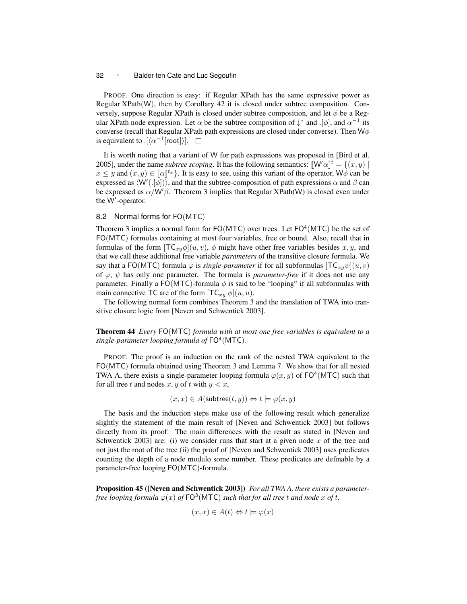PROOF. One direction is easy: if Regular XPath has the same expressive power as Regular XPath(W), then by Corollary 42 it is closed under subtree composition. Conversely, suppose Regular XPath is closed under subtree composition, and let  $\phi$  be a Regular XPath node expression. Let  $\alpha$  be the subtree composition of  $\downarrow^*$  and .[ $\phi$ ], and  $\alpha^{-1}$  its converse (recall that Regular XPath path expressions are closed under converse). Then  $W\phi$ is equivalent to  $. [\langle \alpha^{-1} | \text{root}] \rangle]$ .

It is worth noting that a variant of W for path expressions was proposed in [Bird et al. 2005], under the name *subtree scoping*. It has the following semantics:  $\mathbb{W}'\alpha\mathbb{I}^{\dagger} = \{(x, y) \mid$  $x \leq y$  and  $(x, y) \in [\alpha]^{t_x}$ . It is easy to see, using this variant of the operator, W $\phi$  can be expressed as  $\langle W'(.[\phi])\rangle$ , and that the subtree-composition of path expressions  $\alpha$  and  $\beta$  can be expressed as  $\alpha/W^{\prime}\beta$ . Theorem 3 implies that Regular XPath(W) is closed even under the W′ -operator.

### 8.2 Normal forms for FO(MTC)

Theorem 3 implies a normal form for  $FO(MTC)$  over trees. Let  $FO<sup>4</sup>(MTC)$  be the set of FO(MTC) formulas containing at most four variables, free or bound. Also, recall that in formulas of the form  $[\text{TC}_{xy} \phi](u, v)$ ,  $\phi$  might have other free variables besides x, y, and that we call these additional free variable *parameters* of the transitive closure formula. We say that a FO(MTC) formula  $\varphi$  is *single-parameter* if for all subformulas  $[TC_{x}u\psi](u, v)$ of  $\varphi$ ,  $\psi$  has only one parameter. The formula is *parameter-free* if it does not use any parameter. Finally a FO(MTC)-formula  $\phi$  is said to be "looping" if all subformulas with main connective TC are of the form  $\text{TC}_{xy}$   $\phi|(u, u)$ .

The following normal form combines Theorem 3 and the translation of TWA into transitive closure logic from [Neven and Schwentick 2003].

Theorem 44 *Every* FO(MTC) *formula with at most one free variables is equivalent to a single-parameter looping formula of* FO<sup>4</sup> (MTC)*.*

PROOF. The proof is an induction on the rank of the nested TWA equivalent to the FO(MTC) formula obtained using Theorem 3 and Lemma 7. We show that for all nested TWA A, there exists a single-parameter looping formula  $\varphi(x, y)$  of FO<sup>4</sup>(MTC) such that for all tree t and nodes x, y of t with  $y < x$ ,

$$
(x, x) \in A(\text{subtree}(t, y)) \Leftrightarrow t \models \varphi(x, y)
$$

The basis and the induction steps make use of the following result which generalize slightly the statement of the main result of [Neven and Schwentick 2003] but follows directly from its proof. The main differences with the result as stated in [Neven and Schwentick 2003] are: (i) we consider runs that start at a given node  $x$  of the tree and not just the root of the tree (ii) the proof of [Neven and Schwentick 2003] uses predicates counting the depth of a node modulo some number. These predicates are definable by a parameter-free looping FO(MTC)-formula.

Proposition 45 ([Neven and Schwentick 2003]) *For all TWA A, there exists a parameter*free looping formula  $\varphi(x)$  of  $\mathsf{FO}^3(\mathsf{MTC})$  such that for all tree  $t$  and node  $x$  of  $t$ ,

$$
(x, x) \in A(t) \Leftrightarrow t \models \varphi(x)
$$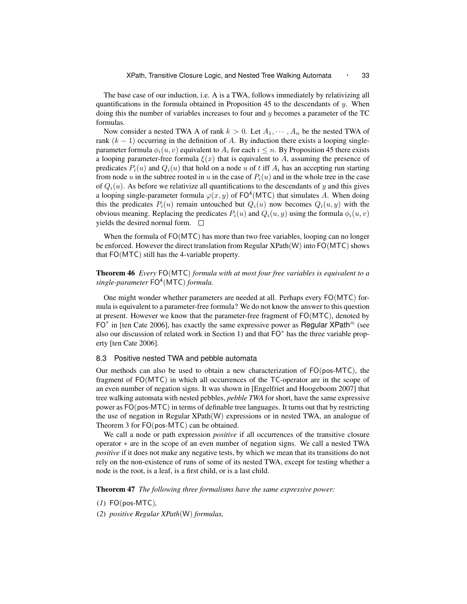The base case of our induction, i.e. A is a TWA, follows immediately by relativizing all quantifications in the formula obtained in Proposition 45 to the descendants of  $y$ . When doing this the number of variables increases to four and  $y$  becomes a parameter of the TC formulas.

Now consider a nested TWA A of rank  $k > 0$ . Let  $A_1, \dots, A_n$  be the nested TWA of rank  $(k-1)$  occurring in the definition of A. By induction there exists a looping singleparameter formula  $\phi_i(u, v)$  equivalent to  $A_i$  for each  $i \leq n$ . By Proposition 45 there exists a looping parameter-free formula  $\xi(x)$  that is equivalent to A, assuming the presence of predicates  $P_i(u)$  and  $Q_i(u)$  that hold on a node u of t iff  $A_i$  has an accepting run starting from node u in the subtree rooted in u in the case of  $P_i(u)$  and in the whole tree in the case of  $Q_i(u)$ . As before we relativize all quantifications to the descendants of  $y$  and this gives a looping single-parameter formula  $\varphi(x, y)$  of FO<sup>4</sup>(MTC) that simulates A. When doing this the predicates  $P_i(u)$  remain untouched but  $Q_i(u)$  now becomes  $Q_i(u, y)$  with the obvious meaning. Replacing the predicates  $P_i(u)$  and  $Q_i(u, y)$  using the formula  $\phi_i(u, v)$ yields the desired normal form.  $\square$ 

When the formula of  $FO(MTC)$  has more than two free variables, looping can no longer be enforced. However the direct translation from Regular XPath(W) into FO(MTC) shows that FO(MTC) still has the 4-variable property.

Theorem 46 *Every* FO(MTC) *formula with at most four free variables is equivalent to a single-parameter* FO<sup>4</sup> (MTC) *formula.*

One might wonder whether parameters are needed at all. Perhaps every FO(MTC) formula is equivalent to a parameter-free formula? We do not know the answer to this question at present. However we know that the parameter-free fragment of FO(MTC), denoted by FO<sup>\*</sup> in [ten Cate 2006], has exactly the same expressive power as Regular XPath<sup>≈</sup> (see also our discussion of related work in Section 1) and that FO<sup>∗</sup> has the three variable property [ten Cate 2006].

### 8.3 Positive nested TWA and pebble automata

Our methods can also be used to obtain a new characterization of FO(pos-MTC), the fragment of FO(MTC) in which all occurrences of the TC-operator are in the scope of an even number of negation signs. It was shown in [Engelfriet and Hoogeboom 2007] that tree walking automata with nested pebbles, *pebble TWA* for short, have the same expressive power as FO(pos-MTC) in terms of definable tree languages. It turns out that by restricting the use of negation in Regular XPath(W) expressions or in nested TWA, an analogue of Theorem 3 for FO(pos-MTC) can be obtained.

We call a node or path expression *positive* if all occurrences of the transitive closure operator ∗ are in the scope of an even number of negation signs. We call a nested TWA *positive* if it does not make any negative tests, by which we mean that its transitions do not rely on the non-existence of runs of some of its nested TWA, except for testing whether a node is the root, is a leaf, is a first child, or is a last child.

### Theorem 47 *The following three formalisms have the same expressive power:*

(*1*) FO(pos*-*MTC)*,*

(*2*) *positive Regular XPath*(W) *formulas,*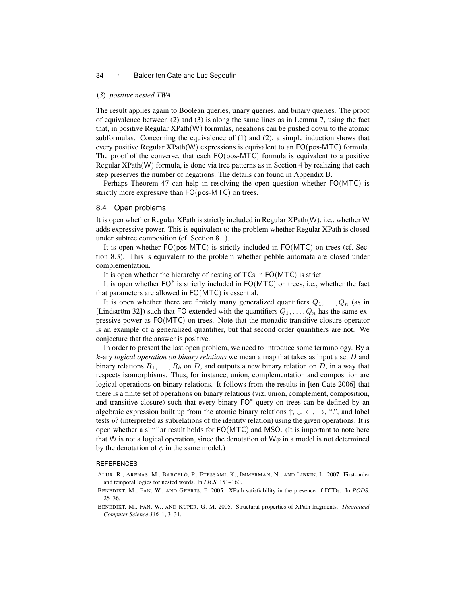#### (*3*) *positive nested TWA*

The result applies again to Boolean queries, unary queries, and binary queries. The proof of equivalence between (2) and (3) is along the same lines as in Lemma 7, using the fact that, in positive Regular XPath(W) formulas, negations can be pushed down to the atomic subformulas. Concerning the equivalence of (1) and (2), a simple induction shows that every positive Regular XPath(W) expressions is equivalent to an FO(pos-MTC) formula. The proof of the converse, that each FO(pos-MTC) formula is equivalent to a positive Regular XPath(W) formula, is done via tree patterns as in Section 4 by realizing that each step preserves the number of negations. The details can found in Appendix B.

Perhaps Theorem 47 can help in resolving the open question whether FO(MTC) is strictly more expressive than FO(pos-MTC) on trees.

### 8.4 Open problems

It is open whether Regular XPath is strictly included in Regular XPath(W), i.e., whether W adds expressive power. This is equivalent to the problem whether Regular XPath is closed under subtree composition (cf. Section 8.1).

It is open whether FO(pos-MTC) is strictly included in FO(MTC) on trees (cf. Section 8.3). This is equivalent to the problem whether pebble automata are closed under complementation.

It is open whether the hierarchy of nesting of TCs in FO(MTC) is strict.

It is open whether FO<sup>\*</sup> is strictly included in FO(MTC) on trees, i.e., whether the fact that parameters are allowed in FO(MTC) is essential.

It is open whether there are finitely many generalized quantifiers  $Q_1, \ldots, Q_n$  (as in [Lindström 32]) such that FO extended with the quantifiers  $Q_1, \ldots, Q_n$  has the same expressive power as FO(MTC) on trees. Note that the monadic transitive closure operator is an example of a generalized quantifier, but that second order quantifiers are not. We conjecture that the answer is positive.

In order to present the last open problem, we need to introduce some terminology. By a  $k$ -ary *logical operation on binary relations* we mean a map that takes as input a set  $D$  and binary relations  $R_1, \ldots, R_k$  on D, and outputs a new binary relation on D, in a way that respects isomorphisms. Thus, for instance, union, complementation and composition are logical operations on binary relations. It follows from the results in [ten Cate 2006] that there is a finite set of operations on binary relations (viz. union, complement, composition, and transitive closure) such that every binary FO<sup>∗</sup> -query on trees can be defined by an algebraic expression built up from the atomic binary relations  $\uparrow, \downarrow, \leftarrow, \rightarrow, \cdot, \cdot, \cdot$  and label tests  $p$ ? (interpreted as subrelations of the identity relation) using the given operations. It is open whether a similar result holds for FO(MTC) and MSO. (It is important to note here that W is not a logical operation, since the denotation of  $W\phi$  in a model is not determined by the denotation of  $\phi$  in the same model.)

#### **REFERENCES**

- ALUR, R., ARENAS, M., BARCELÓ, P., ETESSAMI, K., IMMERMAN, N., AND LIBKIN, L. 2007. First-order and temporal logics for nested words. In *LICS*. 151–160.
- BENEDIKT, M., FAN, W., AND GEERTS, F. 2005. XPath satisfiability in the presence of DTDs. In *PODS*. 25–36.
- BENEDIKT, M., FAN, W., AND KUPER, G. M. 2005. Structural properties of XPath fragments. *Theoretical Computer Science 336,* 1, 3–31.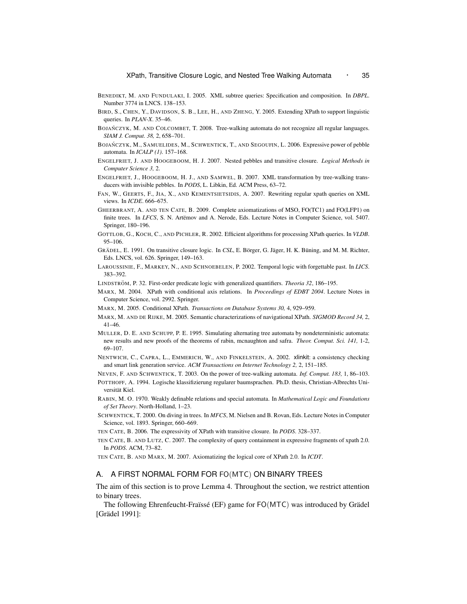- BENEDIKT, M. AND FUNDULAKI, I. 2005. XML subtree queries: Specification and composition. In *DBPL*. Number 3774 in LNCS. 138–153.
- BIRD, S., CHEN, Y., DAVIDSON, S. B., LEE, H., AND ZHENG, Y. 2005. Extending XPath to support linguistic queries. In *PLAN-X*. 35–46.
- BOJAŃCZYK, M. AND COLCOMBET, T. 2008. Tree-walking automata do not recognize all regular languages. *SIAM J. Comput. 38,* 2, 658–701.
- BOJAŃCZYK, M., SAMUELIDES, M., SCHWENTICK, T., AND SEGOUFIN, L. 2006. Expressive power of pebble automata. In *ICALP (1)*. 157–168.
- ENGELFRIET, J. AND HOOGEBOOM, H. J. 2007. Nested pebbles and transitive closure. *Logical Methods in Computer Science 3,* 2.
- ENGELFRIET, J., HOOGEBOOM, H. J., AND SAMWEL, B. 2007. XML transformation by tree-walking transducers with invisible pebbles. In *PODS*, L. Libkin, Ed. ACM Press, 63–72.
- FAN, W., GEERTS, F., JIA, X., AND KEMENTSIETSIDIS, A. 2007. Rewriting regular xpath queries on XML views. In *ICDE*. 666–675.
- GHEERBRANT, A. AND TEN CATE, B. 2009. Complete axiomatizations of MSO, FO(TC1) and FO(LFP1) on finite trees. In *LFCS*, S. N. Artemov and A. Nerode, Eds. Lecture Notes in Computer Science, vol. 5407. Springer, 180–196.
- GOTTLOB, G., KOCH, C., AND PICHLER, R. 2002. Efficient algorithms for processing XPath queries. In *VLDB*. 95–106.
- GRÄDEL, E. 1991. On transitive closure logic. In *CSL*, E. Börger, G. Jäger, H. K. Büning, and M. M. Richter, Eds. LNCS, vol. 626. Springer, 149–163.
- LAROUSSINIE, F., MARKEY, N., AND SCHNOEBELEN, P. 2002. Temporal logic with forgettable past. In *LICS*. 383–392.
- LINDSTRÖM, P. 32. First-order predicate logic with generalized quantifiers. *Theoria 32*, 186–195.
- MARX, M. 2004. XPath with conditional axis relations. In *Proceedings of EDBT 2004*. Lecture Notes in Computer Science, vol. 2992. Springer.
- MARX, M. 2005. Conditional XPath. *Transactions on Database Systems 30,* 4, 929–959.
- MARX, M. AND DE RIJKE, M. 2005. Semantic characterizations of navigational XPath. *SIGMOD Record 34,* 2, 41–46.
- MULLER, D. E. AND SCHUPP, P. E. 1995. Simulating alternating tree automata by nondeterministic automata: new results and new proofs of the theorems of rabin, mcnaughton and safra. *Theor. Comput. Sci. 141,* 1-2, 69–107.
- NENTWICH, C., CAPRA, L., EMMERICH, W., AND FINKELSTEIN, A. 2002. xlinkit: a consistency checking and smart link generation service. *ACM Transactions on Internet Technology 2,* 2, 151–185.
- NEVEN, F. AND SCHWENTICK, T. 2003. On the power of tree-walking automata. *Inf. Comput. 183,* 1, 86–103. POTTHOFF, A. 1994. Logische klassifizierung regularer baumsprachen. Ph.D. thesis, Christian-Albrechts Universität Kiel.
- RABIN, M. O. 1970. Weakly definable relations and special automata. In *Mathematical Logic and Foundations of Set Theory*. North-Holland, 1–23.
- SCHWENTICK, T. 2000. On diving in trees. In *MFCS*, M. Nielsen and B. Rovan, Eds. Lecture Notes in Computer Science, vol. 1893. Springer, 660–669.
- TEN CATE, B. 2006. The expressivity of XPath with transitive closure. In *PODS*. 328–337.
- TEN CATE, B. AND LUTZ, C. 2007. The complexity of query containment in expressive fragments of xpath 2.0. In *PODS*. ACM, 73–82.
- TEN CATE, B. AND MARX, M. 2007. Axiomatizing the logical core of XPath 2.0. In *ICDT*.

### A. A FIRST NORMAL FORM FOR FO(MTC) ON BINARY TREES

The aim of this section is to prove Lemma 4. Throughout the section, we restrict attention to binary trees.

The following Ehrenfeucht-Fraïssé (EF) game for  $FO(MTC)$  was introduced by Grädel [Grädel 1991]: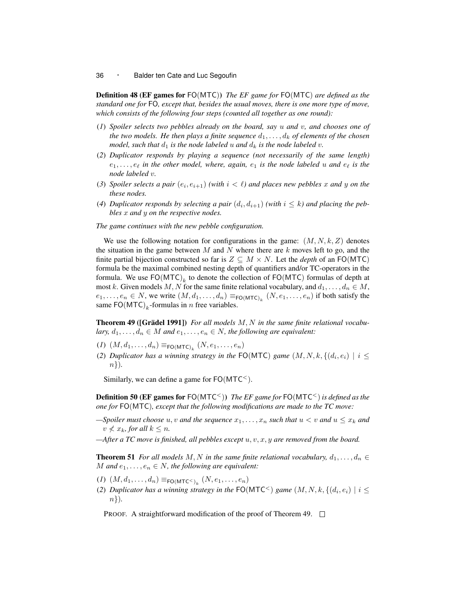Definition 48 (EF games for FO(MTC)) *The EF game for* FO(MTC) *are defined as the standard one for* FO*, except that, besides the usual moves, there is one more type of move, which consists of the following four steps (counted all together as one round):*

- (*1*) *Spoiler selects two pebbles already on the board, say* 𝑢 *and* 𝑣*, and chooses one of the two models. He then plays a finite sequence*  $d_1, \ldots, d_k$  *of elements of the chosen model, such that*  $d_1$  *is the node labeled*  $u$  *and*  $d_k$  *is the node labeled*  $v$ *.*
- (*2*) *Duplicator responds by playing a sequence (not necessarily of the same length)*  $e_1, \ldots, e_\ell$  *in the other model, where, again,*  $e_1$  *is the node labeled* u and  $e_\ell$  *is the node* labeled  $v$ .
- (3) *Spoiler selects a pair*  $(e_i, e_{i+1})$  *(with*  $i < \ell$ *)* and places new pebbles x and y on the *these nodes.*
- (4) Duplicator responds by selecting a pair  $(d_i, d_{i+1})$  *(with*  $i \leq k$ *)* and placing the peb*bles*  $x$  *and*  $y$  *on the respective nodes.*

*The game continues with the new pebble configuration.*

We use the following notation for configurations in the game:  $(M, N, k, Z)$  denotes the situation in the game between  $M$  and  $N$  where there are  $k$  moves left to go, and the finite partial bijection constructed so far is  $Z \subseteq M \times N$ . Let the *depth* of an FO(MTC) formula be the maximal combined nesting depth of quantifiers and/or TC-operators in the formula. We use  $\mathsf{FO}(\mathsf{MTC})_k$  to denote the collection of  $\mathsf{FO}(\mathsf{MTC})$  formulas of depth at most k. Given models M, N for the same finite relational vocabulary, and  $d_1, \ldots, d_n \in M$ ,  $e_1, \ldots, e_n \in N$ , we write  $(M, d_1, \ldots, d_n) \equiv_{\text{FO(MTC)}_k} (N, e_1, \ldots, e_n)$  if both satisfy the same  $FO(MTC)_k$ -formulas in *n* free variables.

**Theorem 49** ([Grädel 1991]) For all models M, N in the same finite relational vocabu*lary,*  $d_1, \ldots, d_n \in M$  and  $e_1, \ldots, e_n \in N$ , the following are equivalent:

- $(I)$   $(M, d_1, \ldots, d_n) \equiv_{\text{FO(MTC)}_k} (N, e_1, \ldots, e_n)$
- (2) *Duplicator has a winning strategy in the* FO(MTC) *game*  $(M, N, k, \{(d_i, e_i) \mid i \leq j\})$  $n$ }).

Similarly, we can define a game for  $FO(MTC^<)$ .

Definition 50 (EF games for FO(MTC<)) *The EF game for* FO(MTC<) *is defined as the one for* FO(MTC)*, except that the following modifications are made to the TC move:*

- $-\text{Spoiler must choose } u, v \text{ and the sequence } x_1, \ldots, x_n \text{ such that } u < v \text{ and } u \leq x_k \text{ and } v$  $v \nless x_k$ , for all  $k \leq n$ .
- *—After a TC move is finished, all pebbles except*  $u, v, x, y$  are removed from the board.

**Theorem 51** *For all models*  $M, N$  *in the same finite relational vocabulary,*  $d_1, \ldots, d_n \in$ *M* and  $e_1, \ldots, e_n \in N$ , the following are equivalent:

- $(I)$   $(M, d_1, \ldots, d_n) \equiv_{\text{FO(MTC}^{\ltsim})_k} (N, e_1, \ldots, e_n)$
- (2) *Duplicator has a winning strategy in the*  $FO(MTC^<)$  *game*  $(M, N, k, \{(d_i, e_i) \mid i \leq j \}$  $n$  $\}$ ).

PROOF. A straightforward modification of the proof of Theorem 49.  $\Box$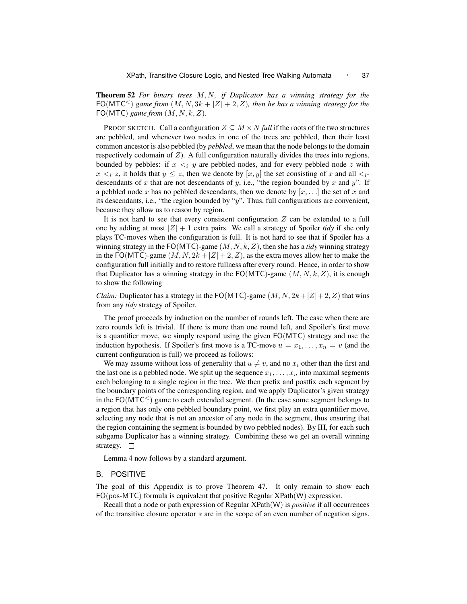**Theorem 52** For binary trees M, N, if Duplicator has a winning strategy for the FO(MTC<sup><</sup>) game from  $(M, N, 3k + |Z| + 2, Z)$ , then he has a winning strategy for the FO(MTC) *game from*  $(M, N, k, Z)$ .

PROOF SKETCH. Call a configuration  $Z \subseteq M \times N$  *full* if the roots of the two structures are pebbled, and whenever two nodes in one of the trees are pebbled, then their least common ancestor is also pebbled (by *pebbled*, we mean that the node belongs to the domain respectively codomain of  $Z$ ). A full configuration naturally divides the trees into regions, bounded by pebbles: if  $x \leq_i y$  are pebbled nodes, and for every pebbled node z with  $x \leq_i z$ , it holds that  $y \leq z$ , then we denote by  $[x, y]$  the set consisting of x and all  $\leq_i$ descendants of x that are not descendants of y, i.e., "the region bounded by x and y". If a pebbled node x has no pebbled descendants, then we denote by  $[x, \dots]$  the set of x and its descendants, i.e., "the region bounded by " $y$ ". Thus, full configurations are convenient, because they allow us to reason by region.

It is not hard to see that every consistent configuration  $Z$  can be extended to a full one by adding at most  $|Z| + 1$  extra pairs. We call a strategy of Spoiler *tidy* if she only plays TC-moves when the configuration is full. It is not hard to see that if Spoiler has a winning strategy in the FO(MTC)-game  $(M, N, k, Z)$ , then she has a *tidy* winning strategy in the FO(MTC)-game  $(M, N, 2k + |Z| + 2, Z)$ , as the extra moves allow her to make the configuration full initially and to restore fullness after every round. Hence, in order to show that Duplicator has a winning strategy in the FO(MTC)-game  $(M, N, k, Z)$ , it is enough to show the following

*Claim:* Duplicator has a strategy in the FO(MTC)-game  $(M, N, 2k + |Z| + 2, Z)$  that wins from any *tidy* strategy of Spoiler.

The proof proceeds by induction on the number of rounds left. The case when there are zero rounds left is trivial. If there is more than one round left, and Spoiler's first move is a quantifier move, we simply respond using the given FO(MTC) strategy and use the induction hypothesis. If Spoiler's first move is a TC-move  $u = x_1, \ldots, x_n = v$  (and the current configuration is full) we proceed as follows:

We may assume without loss of generality that  $u \neq v$ , and no  $x_i$  other than the first and the last one is a pebbled node. We split up the sequence  $x_1, \ldots, x_n$  into maximal segments each belonging to a single region in the tree. We then prefix and postfix each segment by the boundary points of the corresponding region, and we apply Duplicator's given strategy in the  $FO(MTC^<)$  game to each extended segment. (In the case some segment belongs to a region that has only one pebbled boundary point, we first play an extra quantifier move, selecting any node that is not an ancestor of any node in the segment, thus ensuring that the region containing the segment is bounded by two pebbled nodes). By IH, for each such subgame Duplicator has a winning strategy. Combining these we get an overall winning strategy.  $\square$ 

Lemma 4 now follows by a standard argument.

# B. POSITIVE

The goal of this Appendix is to prove Theorem 47. It only remain to show each FO(pos-MTC) formula is equivalent that positive Regular XPath(W) expression.

Recall that a node or path expression of Regular XPath(W) is *positive* if all occurrences of the transitive closure operator ∗ are in the scope of an even number of negation signs.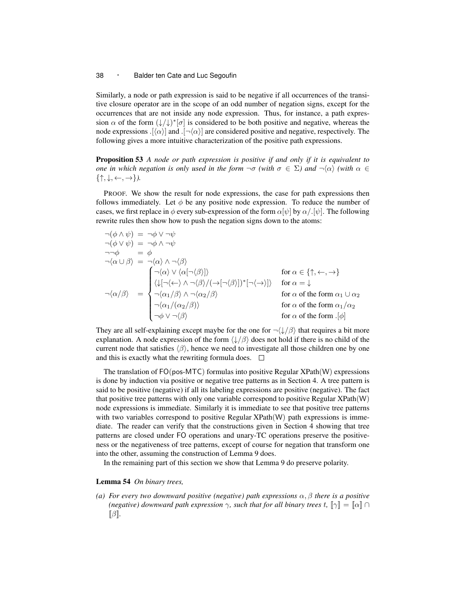Similarly, a node or path expression is said to be negative if all occurrences of the transitive closure operator are in the scope of an odd number of negation signs, except for the occurrences that are not inside any node expression. Thus, for instance, a path expression  $\alpha$  of the form  $(\downarrow/\downarrow)^*[\sigma]$  is considered to be both positive and negative, whereas the node expressions .[ $\langle \alpha \rangle$ ] and .[ $\neg \langle \alpha \rangle$ ] are considered positive and negative, respectively. The following gives a more intuitive characterization of the positive path expressions.

Proposition 53 *A node or path expression is positive if and only if it is equivalent to one in which negation is only used in the form*  $\neg \sigma$  *(with*  $\sigma \in \Sigma$ ) and  $\neg \langle \alpha \rangle$  *(with*  $\alpha \in \mathbb{Z}$ )  $\{\uparrow, \downarrow, \leftarrow, \rightarrow\}.$ 

PROOF. We show the result for node expressions, the case for path expressions then follows immediately. Let  $\phi$  be any positive node expression. To reduce the number of cases, we first replace in  $\phi$  every sub-expression of the form  $\alpha[\psi]$  by  $\alpha/[\psi]$ . The following rewrite rules then show how to push the negation signs down to the atoms:

$$
\neg(\phi \land \psi) = \neg\phi \lor \neg\psi
$$
  
\n
$$
\neg(\phi \lor \psi) = \neg\phi \land \neg\psi
$$
  
\n
$$
\neg\phi = \phi
$$
  
\n
$$
\neg(\alpha \cup \beta) = \neg(\alpha) \land \neg(\beta)
$$
  
\n
$$
\neg(\alpha \lor \langle \alpha[\neg(\beta)] \rangle
$$
 for  $\alpha \in \{\uparrow, \leftarrow, \rightarrow\}$   
\n
$$
\neg\langle \alpha/\beta \rangle = \begin{cases} \neg(\alpha) \lor \langle \alpha[\neg(\beta)] \rangle & \text{for } \alpha \in \{\uparrow, \leftarrow, \rightarrow\} \\ \langle \downarrow [\neg \langle \leftarrow \rangle \land \neg \langle \beta \rangle / (\rightarrow [\neg \langle \beta \rangle])^* [\neg \langle \rightarrow \rangle] \rangle & \text{for } \alpha = \downarrow \\ \neg \langle \alpha_1/\beta \rangle \land \neg \langle \alpha_2/\beta \rangle & \text{for } \alpha \text{ of the form } \alpha_1 \cup \alpha_2 \\ \neg \langle \alpha_1/(\alpha_2/\beta) \rangle & \text{for } \alpha \text{ of the form } \alpha_1/\alpha_2 \\ \neg \phi \lor \neg \langle \beta \rangle & \text{for } \alpha \text{ of the form } [\phi]
$$

They are all self-explaining except maybe for the one for  $\neg \langle \downarrow / \beta \rangle$  that requires a bit more explanation. A node expression of the form  $\langle \downarrow/\beta \rangle$  does not hold if there is no child of the current node that satisfies  $\langle \beta \rangle$ , hence we need to investigate all those children one by one and this is exactly what the rewriting formula does.  $\Box$ 

The translation of  $FO(pos-MTC)$  formulas into positive Regular  $XPath(W)$  expressions is done by induction via positive or negative tree patterns as in Section 4. A tree pattern is said to be positive (negative) if all its labeling expressions are positive (negative). The fact that positive tree patterns with only one variable correspond to positive Regular XPath(W) node expressions is immediate. Similarly it is immediate to see that positive tree patterns with two variables correspond to positive Regular XPath(W) path expressions is immediate. The reader can verify that the constructions given in Section 4 showing that tree patterns are closed under FO operations and unary-TC operations preserve the positiveness or the negativeness of tree patterns, except of course for negation that transform one into the other, assuming the construction of Lemma 9 does.

In the remaining part of this section we show that Lemma 9 do preserve polarity.

### Lemma 54 *On binary trees,*

(a) For every two downward positive (negative) path expressions  $\alpha$ ,  $\beta$  there is a positive *(negative) downward path expression*  $\gamma$ *, such that for all binary trees t*,  $\lbrack \gamma \rbrack = \lbrack \alpha \rbrack \rbrack \cap$  $[\![\beta]\!]$ .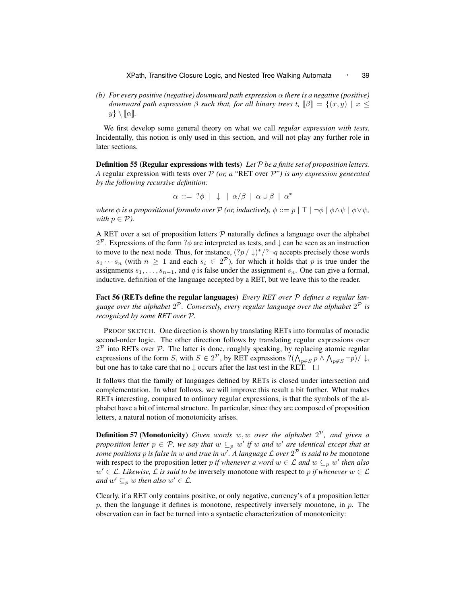*(b)* For every positive (negative) downward path expression  $\alpha$  there is a negative (positive) *downward path expression*  $\beta$  *such that, for all binary trees t,*  $\lbrack \beta \rbrack = \{(x,y) \mid x \leq 1\}$  $y\}\setminus[\![\alpha]\!]$ .

We first develop some general theory on what we call *regular expression with tests*. Incidentally, this notion is only used in this section, and will not play any further role in later sections.

**Definition 55 (Regular expressions with tests)** *Let*  $\mathcal{P}$  *be a finite set of proposition letters. A* regular expression with tests over  $P$  *(or, a* "RET over  $P$ "*) is any expression generated by the following recursive definition:*

 $\alpha$  ::= ? $\phi$  | ↓ |  $\alpha/\beta$  |  $\alpha \cup \beta$  |  $\alpha^*$ 

*where*  $\phi$  *is a propositional formula over*  $\mathcal P$  *(or, inductively,*  $\phi ::= p | \top | \neg \phi | \phi \land \psi | \phi \lor \psi$ , *with*  $p \in \mathcal{P}$ *).* 

A RET over a set of proposition letters  $P$  naturally defines a language over the alphabet  $2^{\mathcal{P}}$ . Expressions of the form ? $\phi$  are interpreted as tests, and  $\downarrow$  can be seen as an instruction to move to the next node. Thus, for instance,  $(2p/\sqrt{2})^*/2 \neg q$  accepts precisely those words  $s_1 \cdots s_n$  (with  $n \geq 1$  and each  $s_i \in 2^{\mathcal{P}}$ ), for which it holds that p is true under the assignments  $s_1, \ldots, s_{n-1}$ , and q is false under the assignment  $s_n$ . One can give a formal, inductive, definition of the language accepted by a RET, but we leave this to the reader.

Fact 56 (RETs define the regular languages) *Every RET over*  $P$  *defines a regular lan*guage over the alphabet  $2^{\mathcal{P}}$ . Conversely, every regular language over the alphabet  $2^{\mathcal{P}}$  is *recognized by some RET over*  $P$ *.* 

PROOF SKETCH. One direction is shown by translating RETs into formulas of monadic second-order logic. The other direction follows by translating regular expressions over  $2^{\mathcal{P}}$  into RETs over  $\mathcal{P}$ . The latter is done, roughly speaking, by replacing atomic regular expressions of the form S, with  $S \in 2^{\mathcal{P}}$ , by RET expressions  $?(\bigwedge_{p \in S} p \wedge \bigwedge_{p \notin S} \neg p)/\downarrow$ , but one has to take care that no  $\downarrow$  occurs after the last test in the RET.  $\Box$ 

It follows that the family of languages defined by RETs is closed under intersection and complementation. In what follows, we will improve this result a bit further. What makes RETs interesting, compared to ordinary regular expressions, is that the symbols of the alphabet have a bit of internal structure. In particular, since they are composed of proposition letters, a natural notion of monotonicity arises.

**Definition 57 (Monotonicity)** Given words  $w, w$  over the alphabet  $2^{\mathcal{P}}$ , and given a *proposition letter*  $p \in \mathcal{P}$ *, we say that*  $w \subseteq_p w'$  *if*  $w$  and  $w'$  are identical except that at *some positions*  $p$  *is false in*  $w$  *and true in*  $w'$ *. A language*  $\mathcal L$  *over*  $2^{\mathcal P}$  *is said to be monotone* with respect to the proposition letter p if whenever a word  $w \in \mathcal{L}$  and  $w \subseteq_p w'$  then also  $w' \in \mathcal{L}$ . Likewise,  $\mathcal L$  is said to be inversely monotone with respect to p if whenever  $w \in \mathcal L$ and  $w' \subseteq_p w$  then also  $w' \in \mathcal{L}$ .

Clearly, if a RET only contains positive, or only negative, currency's of a proposition letter  $p$ , then the language it defines is monotone, respectively inversely monotone, in  $p$ . The observation can in fact be turned into a syntactic characterization of monotonicity: